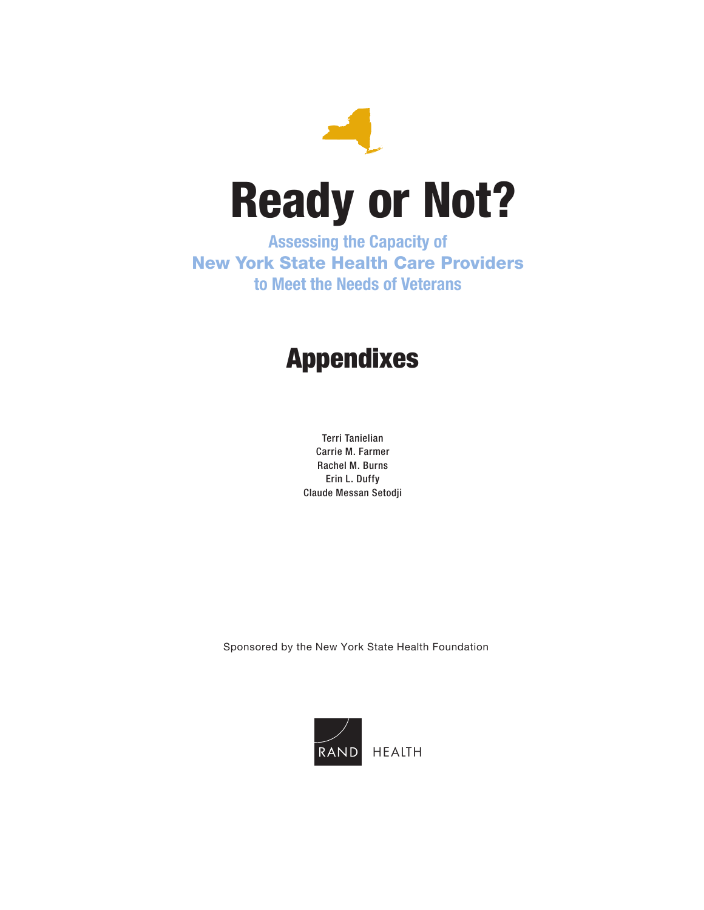

Assessing the Capacity of New York State Health Care Providers to Meet the Needs of Veterans

# Appendixes

Terri Tanielian Carrie M. Farmer Rachel M. Burns Erin L. Duffy Claude Messan Setodji

Sponsored by the New York State Health Foundation

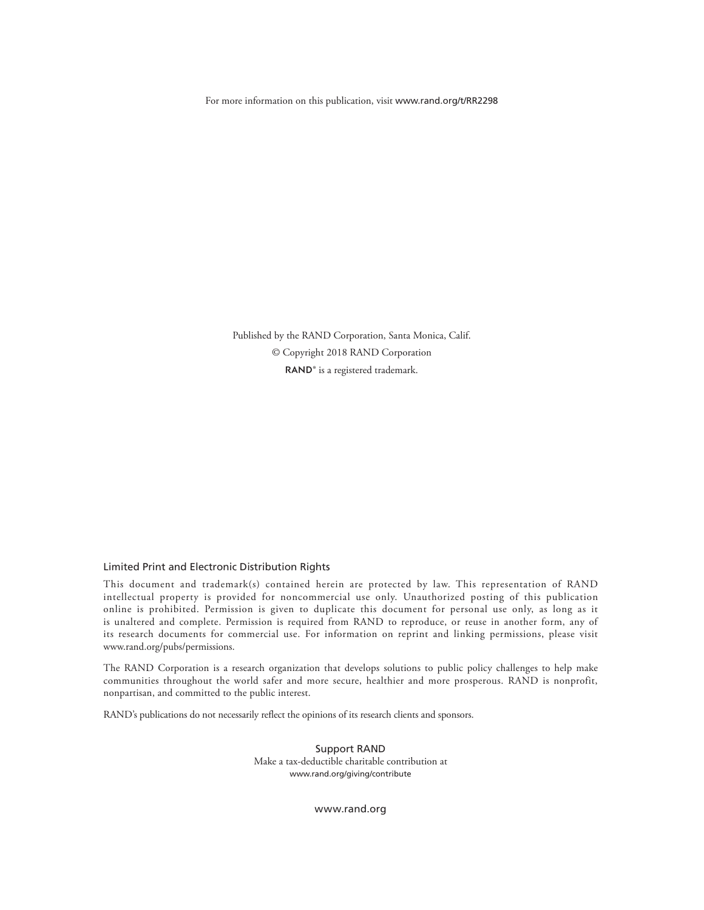For more information on this publication, visit [www.rand.org/t/RR2298](http://www.rand.org/t/RR2298)

Published by the RAND Corporation, Santa Monica, Calif. © Copyright 2018 RAND Corporation RAND<sup>®</sup> is a registered trademark.

#### Limited Print and Electronic Distribution Rights

This document and trademark(s) contained herein are protected by law. This representation of RAND intellectual property is provided for noncommercial use only. Unauthorized posting of this publication online is prohibited. Permission is given to duplicate this document for personal use only, as long as it is unaltered and complete. Permission is required from RAND to reproduce, or reuse in another form, any of its research documents for commercial use. For information on reprint and linking permissions, please visit [www.rand.org/pubs/permissions.](http://www.rand.org/pubs/permissions)

The RAND Corporation is a research organization that develops solutions to public policy challenges to help make communities throughout the world safer and more secure, healthier and more prosperous. RAND is nonprofit, nonpartisan, and committed to the public interest.

RAND's publications do not necessarily reflect the opinions of its research clients and sponsors.

Support RAND Make a tax-deductible charitable contribution at [www.rand.org/giving/contribute](http://www.rand.org/giving/contribute)

[www.rand.org](http://www.rand.org)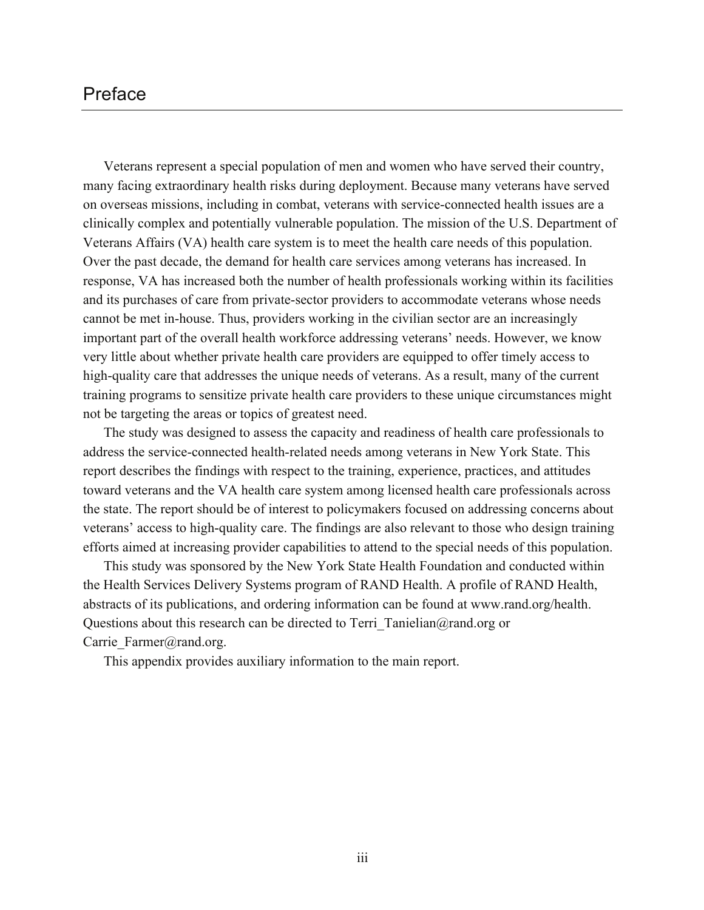## Preface

Veterans represent a special population of men and women who have served their country, many facing extraordinary health risks during deployment. Because many veterans have served on overseas missions, including in combat, veterans with service-connected health issues are a clinically complex and potentially vulnerable population. The mission of the U.S. Department of Veterans Affairs (VA) health care system is to meet the health care needs of this population. Over the past decade, the demand for health care services among veterans has increased. In response, VA has increased both the number of health professionals working within its facilities and its purchases of care from private-sector providers to accommodate veterans whose needs cannot be met in-house. Thus, providers working in the civilian sector are an increasingly important part of the overall health workforce addressing veterans' needs. However, we know very little about whether private health care providers are equipped to offer timely access to high-quality care that addresses the unique needs of veterans. As a result, many of the current training programs to sensitize private health care providers to these unique circumstances might not be targeting the areas or topics of greatest need.

The study was designed to assess the capacity and readiness of health care professionals to address the service-connected health-related needs among veterans in New York State. This report describes the findings with respect to the training, experience, practices, and attitudes toward veterans and the VA health care system among licensed health care professionals across the state. The report should be of interest to policymakers focused on addressing concerns about veterans' access to high-quality care. The findings are also relevant to those who design training efforts aimed at increasing provider capabilities to attend to the special needs of this population.

This study was sponsored by the New York State Health Foundation and conducted within the Health Services Delivery Systems program of RAND Health. A profile of RAND Health, abstracts of its publications, and ordering information can be found at [www.rand.org/health.](http://www.rand.org/health) Questions about this research can be directed to Terri Tanielian@rand.org or Carrie Farmer@rand.org.

This appendix provides auxiliary information to the main report.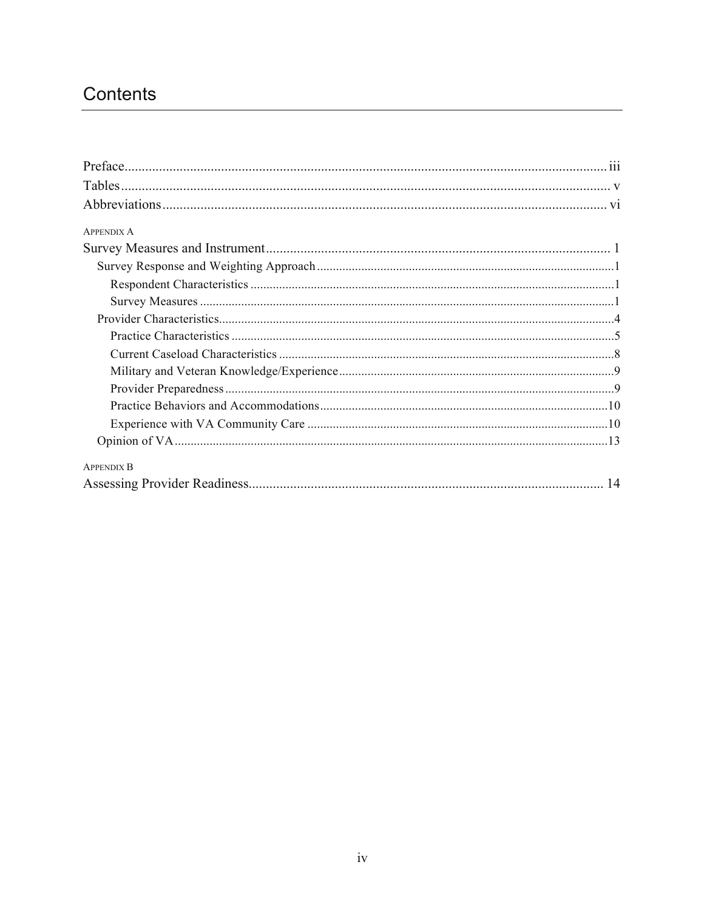## Contents

| <b>APPENDIX A</b> |
|-------------------|
|                   |
|                   |
|                   |
|                   |
|                   |
|                   |
|                   |
|                   |
|                   |
|                   |
|                   |
|                   |
| <b>APPENDIX B</b> |
|                   |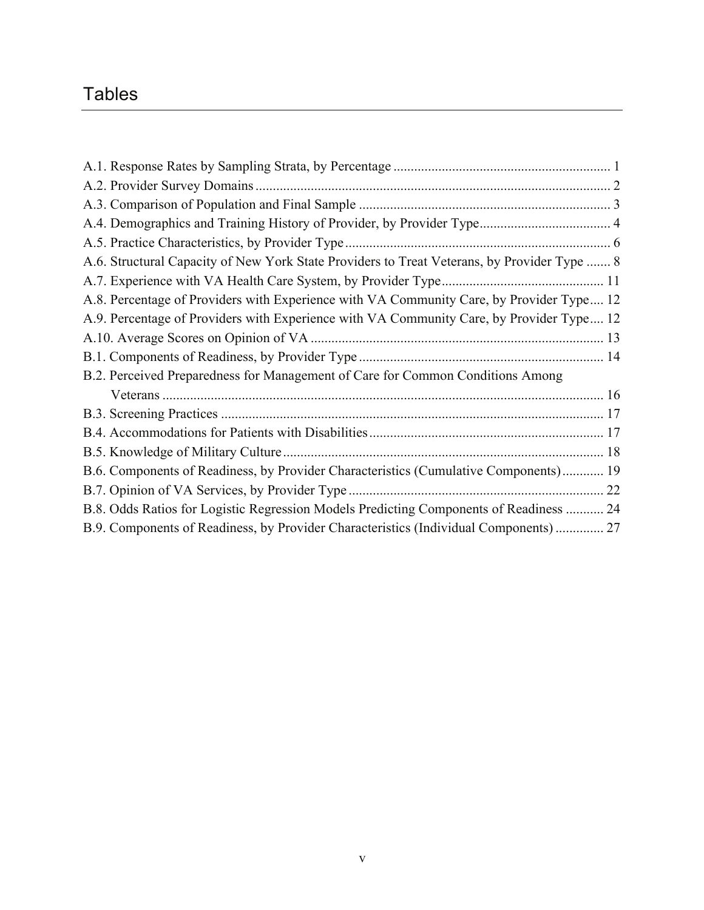## Tables

| A.6. Structural Capacity of New York State Providers to Treat Veterans, by Provider Type  8 |  |
|---------------------------------------------------------------------------------------------|--|
|                                                                                             |  |
| A.8. Percentage of Providers with Experience with VA Community Care, by Provider Type 12    |  |
| A.9. Percentage of Providers with Experience with VA Community Care, by Provider Type 12    |  |
|                                                                                             |  |
|                                                                                             |  |
| B.2. Perceived Preparedness for Management of Care for Common Conditions Among              |  |
|                                                                                             |  |
|                                                                                             |  |
|                                                                                             |  |
|                                                                                             |  |
| B.6. Components of Readiness, by Provider Characteristics (Cumulative Components) 19        |  |
|                                                                                             |  |
| B.8. Odds Ratios for Logistic Regression Models Predicting Components of Readiness  24      |  |
| B.9. Components of Readiness, by Provider Characteristics (Individual Components)  27       |  |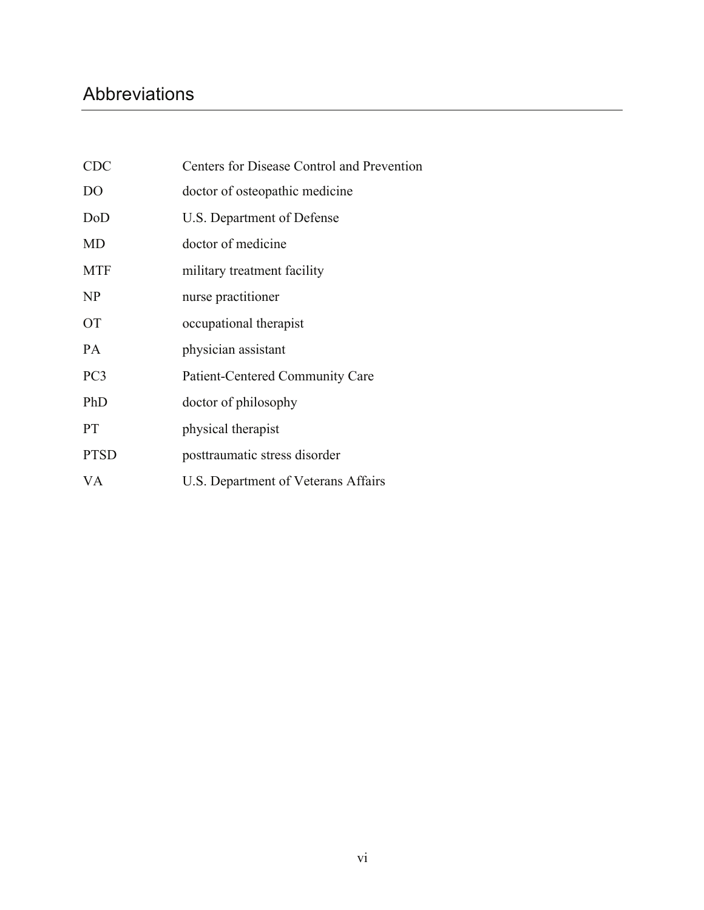## Abbreviations

| <b>CDC</b>      | Centers for Disease Control and Prevention |
|-----------------|--------------------------------------------|
| D <sub>O</sub>  | doctor of osteopathic medicine             |
| DoD             | U.S. Department of Defense                 |
| MD              | doctor of medicine                         |
| <b>MTF</b>      | military treatment facility                |
| NP              | nurse practitioner                         |
| <b>OT</b>       | occupational therapist                     |
| <b>PA</b>       | physician assistant                        |
| PC <sub>3</sub> | Patient-Centered Community Care            |
| PhD             | doctor of philosophy                       |
| <b>PT</b>       | physical therapist                         |
| <b>PTSD</b>     | posttraumatic stress disorder              |
| VA              | U.S. Department of Veterans Affairs        |
|                 |                                            |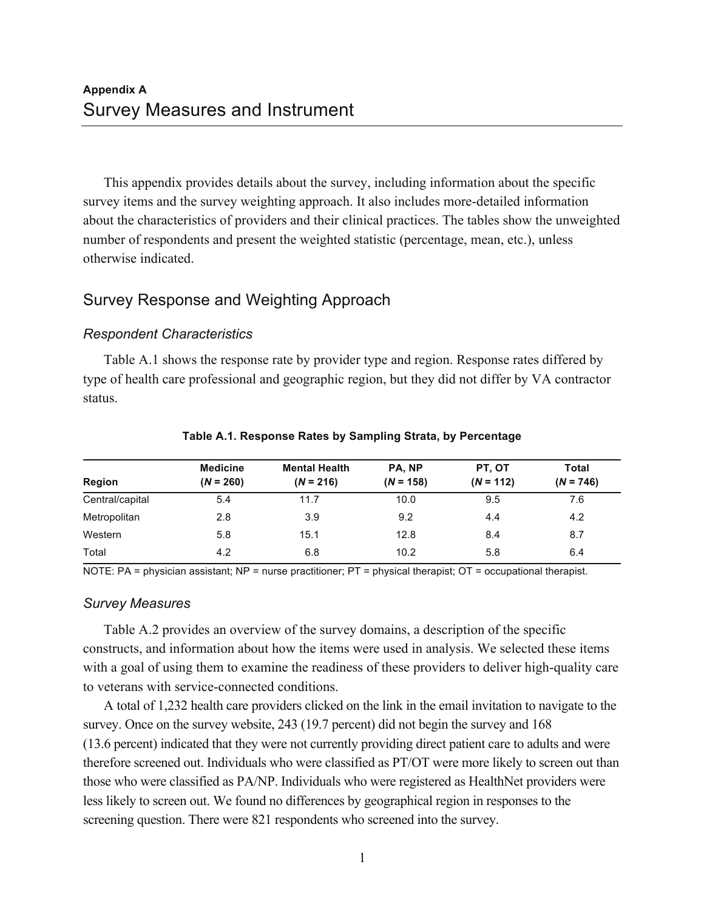This appendix provides details about the survey, including information about the specific survey items and the survey weighting approach. It also includes more-detailed information about the characteristics of providers and their clinical practices. The tables show the unweighted number of respondents and present the weighted statistic (percentage, mean, etc.), unless otherwise indicated.

## Survey Response and Weighting Approach

## *Respondent Characteristics*

Table A.1 shows the response rate by provider type and region. Response rates differed by type of health care professional and geographic region, but they did not differ by VA contractor status.

|                 | <b>Medicine</b> | <b>Mental Health</b> | PA. NP      | PT, OT      | <b>Total</b> |
|-----------------|-----------------|----------------------|-------------|-------------|--------------|
| Region          | $(N = 260)$     | $(N = 216)$          | $(N = 158)$ | $(N = 112)$ | $(N = 746)$  |
| Central/capital | 5.4             | 11.7                 | 10.0        | 9.5         | 7.6          |
| Metropolitan    | 2.8             | 3.9                  | 9.2         | 4.4         | 4.2          |
| Western         | 5.8             | 15.1                 | 12.8        | 8.4         | 8.7          |
| Total           | 4.2             | 6.8                  | 10.2        | 5.8         | 6.4          |

#### **Table A.1. Response Rates by Sampling Strata, by Percentage**

NOTE: PA = physician assistant; NP = nurse practitioner; PT = physical therapist; OT = occupational therapist.

#### *Survey Measures*

Table A.2 provides an overview of the survey domains, a description of the specific constructs, and information about how the items were used in analysis. We selected these items with a goal of using them to examine the readiness of these providers to deliver high-quality care to veterans with service-connected conditions.

A total of 1,232 health care providers clicked on the link in the email invitation to navigate to the survey. Once on the survey website, 243 (19.7 percent) did not begin the survey and 168 (13.6 percent) indicated that they were not currently providing direct patient care to adults and were therefore screened out. Individuals who were classified as PT/OT were more likely to screen out than those who were classified as PA/NP. Individuals who were registered as HealthNet providers were less likely to screen out. We found no differences by geographical region in responses to the screening question. There were 821 respondents who screened into the survey.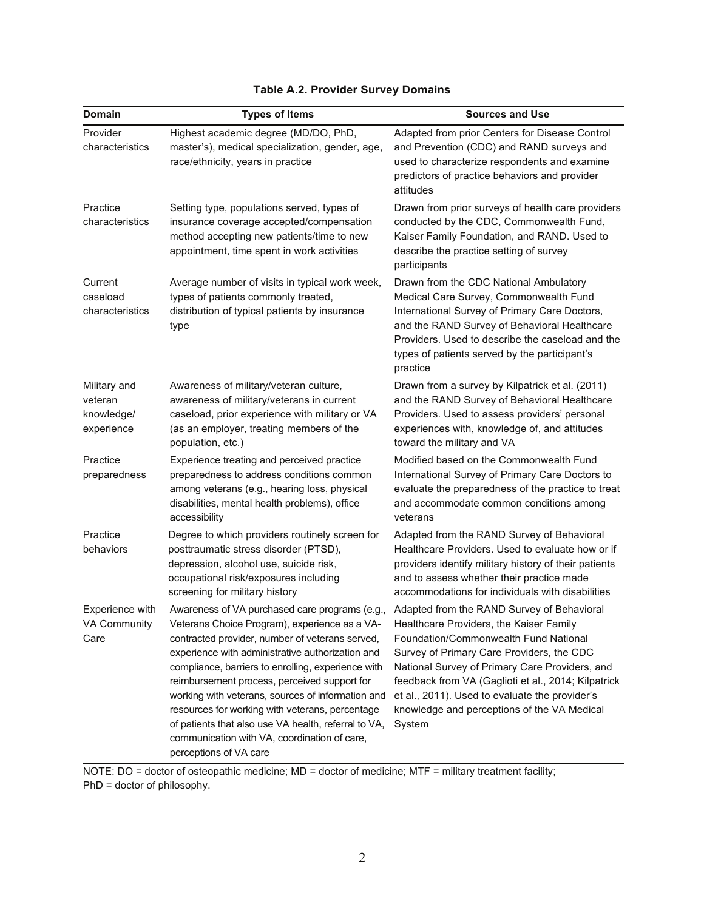| <b>Domain</b>                                       | <b>Types of Items</b>                                                                                                                                                                                                                                                                                                                                                                                                                                                                                                                                                                             | <b>Sources and Use</b>                                                                                                                                                                                                                                                                                                                            |
|-----------------------------------------------------|---------------------------------------------------------------------------------------------------------------------------------------------------------------------------------------------------------------------------------------------------------------------------------------------------------------------------------------------------------------------------------------------------------------------------------------------------------------------------------------------------------------------------------------------------------------------------------------------------|---------------------------------------------------------------------------------------------------------------------------------------------------------------------------------------------------------------------------------------------------------------------------------------------------------------------------------------------------|
| Provider<br>characteristics                         | Highest academic degree (MD/DO, PhD,<br>master's), medical specialization, gender, age,<br>race/ethnicity, years in practice                                                                                                                                                                                                                                                                                                                                                                                                                                                                      | Adapted from prior Centers for Disease Control<br>and Prevention (CDC) and RAND surveys and<br>used to characterize respondents and examine<br>predictors of practice behaviors and provider<br>attitudes                                                                                                                                         |
| Practice<br>characteristics                         | Setting type, populations served, types of<br>insurance coverage accepted/compensation<br>method accepting new patients/time to new<br>appointment, time spent in work activities                                                                                                                                                                                                                                                                                                                                                                                                                 | Drawn from prior surveys of health care providers<br>conducted by the CDC, Commonwealth Fund,<br>Kaiser Family Foundation, and RAND. Used to<br>describe the practice setting of survey<br>participants                                                                                                                                           |
| Current<br>caseload<br>characteristics              | Average number of visits in typical work week,<br>types of patients commonly treated,<br>distribution of typical patients by insurance<br>type                                                                                                                                                                                                                                                                                                                                                                                                                                                    | Drawn from the CDC National Ambulatory<br>Medical Care Survey, Commonwealth Fund<br>International Survey of Primary Care Doctors,<br>and the RAND Survey of Behavioral Healthcare<br>Providers. Used to describe the caseload and the<br>types of patients served by the participant's<br>practice                                                |
| Military and<br>veteran<br>knowledge/<br>experience | Awareness of military/veteran culture,<br>awareness of military/veterans in current<br>caseload, prior experience with military or VA<br>(as an employer, treating members of the<br>population, etc.)                                                                                                                                                                                                                                                                                                                                                                                            | Drawn from a survey by Kilpatrick et al. (2011)<br>and the RAND Survey of Behavioral Healthcare<br>Providers. Used to assess providers' personal<br>experiences with, knowledge of, and attitudes<br>toward the military and VA                                                                                                                   |
| Practice<br>preparedness                            | Experience treating and perceived practice<br>preparedness to address conditions common<br>among veterans (e.g., hearing loss, physical<br>disabilities, mental health problems), office<br>accessibility                                                                                                                                                                                                                                                                                                                                                                                         | Modified based on the Commonwealth Fund<br>International Survey of Primary Care Doctors to<br>evaluate the preparedness of the practice to treat<br>and accommodate common conditions among<br>veterans                                                                                                                                           |
| Practice<br>behaviors                               | Degree to which providers routinely screen for<br>posttraumatic stress disorder (PTSD),<br>depression, alcohol use, suicide risk,<br>occupational risk/exposures including<br>screening for military history                                                                                                                                                                                                                                                                                                                                                                                      | Adapted from the RAND Survey of Behavioral<br>Healthcare Providers. Used to evaluate how or if<br>providers identify military history of their patients<br>and to assess whether their practice made<br>accommodations for individuals with disabilities                                                                                          |
| Experience with<br>VA Community<br>Care             | Awareness of VA purchased care programs (e.g., Adapted from the RAND Survey of Behavioral<br>Veterans Choice Program), experience as a VA-<br>contracted provider, number of veterans served,<br>experience with administrative authorization and<br>compliance, barriers to enrolling, experience with<br>reimbursement process, perceived support for<br>working with veterans, sources of information and<br>resources for working with veterans, percentage<br>of patients that also use VA health, referral to VA,<br>communication with VA, coordination of care,<br>perceptions of VA care | Healthcare Providers, the Kaiser Family<br>Foundation/Commonwealth Fund National<br>Survey of Primary Care Providers, the CDC<br>National Survey of Primary Care Providers, and<br>feedback from VA (Gaglioti et al., 2014; Kilpatrick<br>et al., 2011). Used to evaluate the provider's<br>knowledge and perceptions of the VA Medical<br>System |

## **Table A.2. Provider Survey Domains**

NOTE: DO = doctor of osteopathic medicine; MD = doctor of medicine; MTF = military treatment facility; PhD = doctor of philosophy.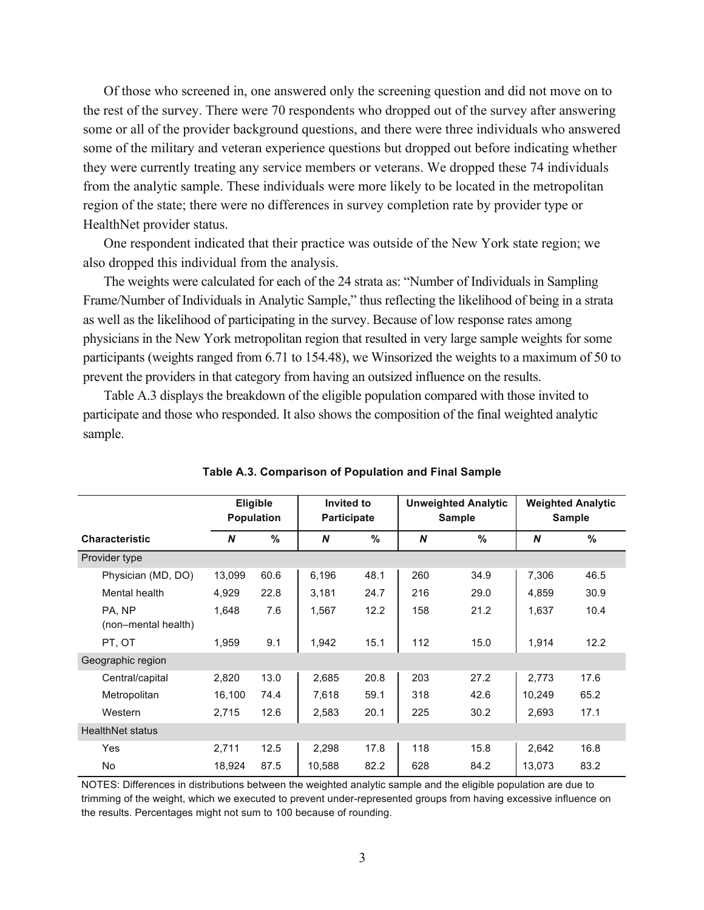Of those who screened in, one answered only the screening question and did not move on to the rest of the survey. There were 70 respondents who dropped out of the survey after answering some or all of the provider background questions, and there were three individuals who answered some of the military and veteran experience questions but dropped out before indicating whether they were currently treating any service members or veterans. We dropped these 74 individuals from the analytic sample. These individuals were more likely to be located in the metropolitan region of the state; there were no differences in survey completion rate by provider type or HealthNet provider status.

One respondent indicated that their practice was outside of the New York state region; we also dropped this individual from the analysis.

The weights were calculated for each of the 24 strata as: "Number of Individuals in Sampling Frame/Number of Individuals in Analytic Sample," thus reflecting the likelihood of being in a strata as well as the likelihood of participating in the survey. Because of low response rates among physicians in the New York metropolitan region that resulted in very large sample weights for some participants (weights ranged from 6.71 to 154.48), we Winsorized the weights to a maximum of 50 to prevent the providers in that category from having an outsized influence on the results.

Table A.3 displays the breakdown of the eligible population compared with those invited to participate and those who responded. It also shows the composition of the final weighted analytic sample.

|                               |        | <b>Eligible</b><br><b>Population</b> | Invited to<br><b>Participate</b> |      | <b>Unweighted Analytic</b><br><b>Sample</b> |      |        | <b>Weighted Analytic</b><br><b>Sample</b> |
|-------------------------------|--------|--------------------------------------|----------------------------------|------|---------------------------------------------|------|--------|-------------------------------------------|
| <b>Characteristic</b>         | N      | %                                    | N                                | %    | N                                           | %    | N      | $\%$                                      |
| Provider type                 |        |                                      |                                  |      |                                             |      |        |                                           |
| Physician (MD, DO)            | 13,099 | 60.6                                 | 6,196                            | 48.1 | 260                                         | 34.9 | 7,306  | 46.5                                      |
| Mental health                 | 4,929  | 22.8                                 | 3,181                            | 24.7 | 216                                         | 29.0 | 4,859  | 30.9                                      |
| PA. NP<br>(non-mental health) | 1.648  | 7.6                                  | 1,567                            | 12.2 | 158                                         | 21.2 | 1,637  | 10.4                                      |
| PT, OT                        | 1,959  | 9.1                                  | 1,942                            | 15.1 | 112                                         | 15.0 | 1,914  | 12.2                                      |
| Geographic region             |        |                                      |                                  |      |                                             |      |        |                                           |
| Central/capital               | 2,820  | 13.0                                 | 2,685                            | 20.8 | 203                                         | 27.2 | 2,773  | 17.6                                      |
| Metropolitan                  | 16,100 | 74.4                                 | 7,618                            | 59.1 | 318                                         | 42.6 | 10,249 | 65.2                                      |
| Western                       | 2,715  | 12.6                                 | 2,583                            | 20.1 | 225                                         | 30.2 | 2,693  | 17.1                                      |
| <b>HealthNet status</b>       |        |                                      |                                  |      |                                             |      |        |                                           |
| Yes                           | 2,711  | 12.5                                 | 2,298                            | 17.8 | 118                                         | 15.8 | 2,642  | 16.8                                      |
| No                            | 18,924 | 87.5                                 | 10,588                           | 82.2 | 628                                         | 84.2 | 13,073 | 83.2                                      |

**Table A.3. Comparison of Population and Final Sample** 

NOTES: Differences in distributions between the weighted analytic sample and the eligible population are due to trimming of the weight, which we executed to prevent under-represented groups from having excessive influence on the results. Percentages might not sum to 100 because of rounding.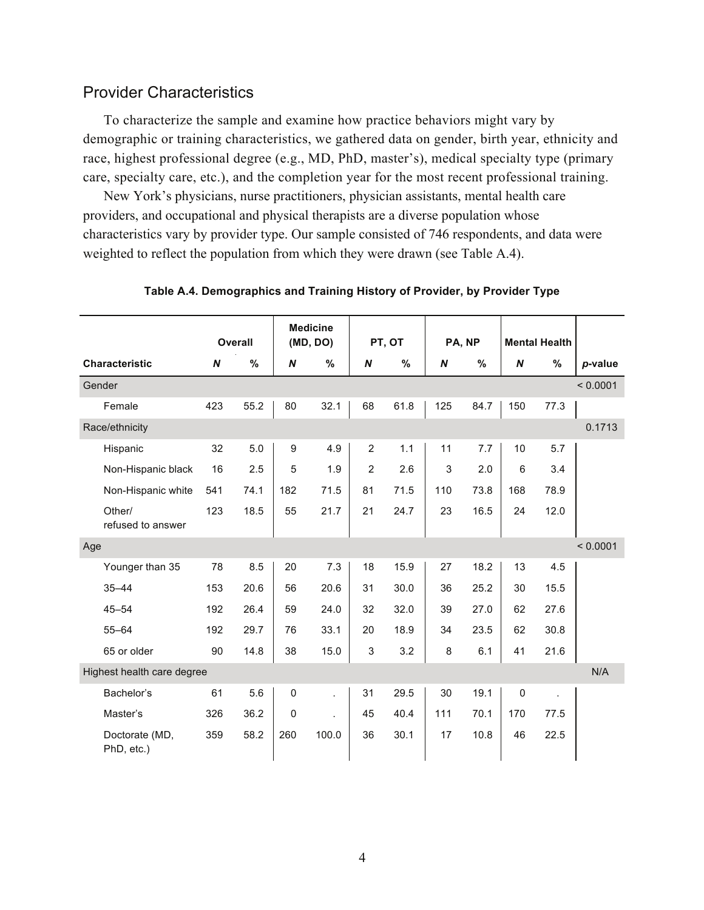## Provider Characteristics

To characterize the sample and examine how practice behaviors might vary by demographic or training characteristics, we gathered data on gender, birth year, ethnicity and race, highest professional degree (e.g., MD, PhD, master's), medical specialty type (primary care, specialty care, etc.), and the completion year for the most recent professional training.

New York's physicians, nurse practitioners, physician assistants, mental health care providers, and occupational and physical therapists are a diverse population whose characteristics vary by provider type. Our sample consisted of 746 respondents, and data were weighted to reflect the population from which they were drawn (see Table A.4).

|                              |                  | <b>Overall</b> |             | <b>Medicine</b><br>(MD, DO) | PT, OT         |      | PA, NP |      | <b>Mental Health</b> |      |          |
|------------------------------|------------------|----------------|-------------|-----------------------------|----------------|------|--------|------|----------------------|------|----------|
| <b>Characteristic</b>        | $\boldsymbol{N}$ | %              | N           | %                           | N              | $\%$ | N      | %    | N                    | %    | p-value  |
| Gender                       |                  |                |             |                             |                |      |        |      |                      |      | < 0.0001 |
| Female                       | 423              | 55.2           | 80          | 32.1                        | 68             | 61.8 | 125    | 84.7 | 150                  | 77.3 |          |
| Race/ethnicity               |                  |                |             |                             |                |      |        |      |                      |      | 0.1713   |
| Hispanic                     | 32               | 5.0            | 9           | 4.9                         | $\overline{2}$ | 1.1  | 11     | 7.7  | 10                   | 5.7  |          |
| Non-Hispanic black           | 16               | 2.5            | 5           | 1.9                         | $\overline{c}$ | 2.6  | 3      | 2.0  | 6                    | 3.4  |          |
| Non-Hispanic white           | 541              | 74.1           | 182         | 71.5                        | 81             | 71.5 | 110    | 73.8 | 168                  | 78.9 |          |
| Other/<br>refused to answer  | 123              | 18.5           | 55          | 21.7                        | 21             | 24.7 | 23     | 16.5 | 24                   | 12.0 |          |
| Age                          |                  |                |             |                             |                |      |        |      |                      |      | < 0.0001 |
| Younger than 35              | 78               | 8.5            | 20          | 7.3                         | 18             | 15.9 | 27     | 18.2 | 13                   | 4.5  |          |
| $35 - 44$                    | 153              | 20.6           | 56          | 20.6                        | 31             | 30.0 | 36     | 25.2 | 30                   | 15.5 |          |
| $45 - 54$                    | 192              | 26.4           | 59          | 24.0                        | 32             | 32.0 | 39     | 27.0 | 62                   | 27.6 |          |
| $55 - 64$                    | 192              | 29.7           | 76          | 33.1                        | 20             | 18.9 | 34     | 23.5 | 62                   | 30.8 |          |
| 65 or older                  | 90               | 14.8           | 38          | 15.0                        | 3              | 3.2  | 8      | 6.1  | 41                   | 21.6 |          |
| Highest health care degree   |                  |                |             |                             |                |      |        |      |                      |      | N/A      |
| Bachelor's                   | 61               | 5.6            | $\mathbf 0$ | t.                          | 31             | 29.5 | 30     | 19.1 | $\mathbf 0$          | ÷.   |          |
| Master's                     | 326              | 36.2           | $\mathbf 0$ |                             | 45             | 40.4 | 111    | 70.1 | 170                  | 77.5 |          |
| Doctorate (MD,<br>PhD, etc.) | 359              | 58.2           | 260         | 100.0                       | 36             | 30.1 | 17     | 10.8 | 46                   | 22.5 |          |

**Table A.4. Demographics and Training History of Provider, by Provider Type**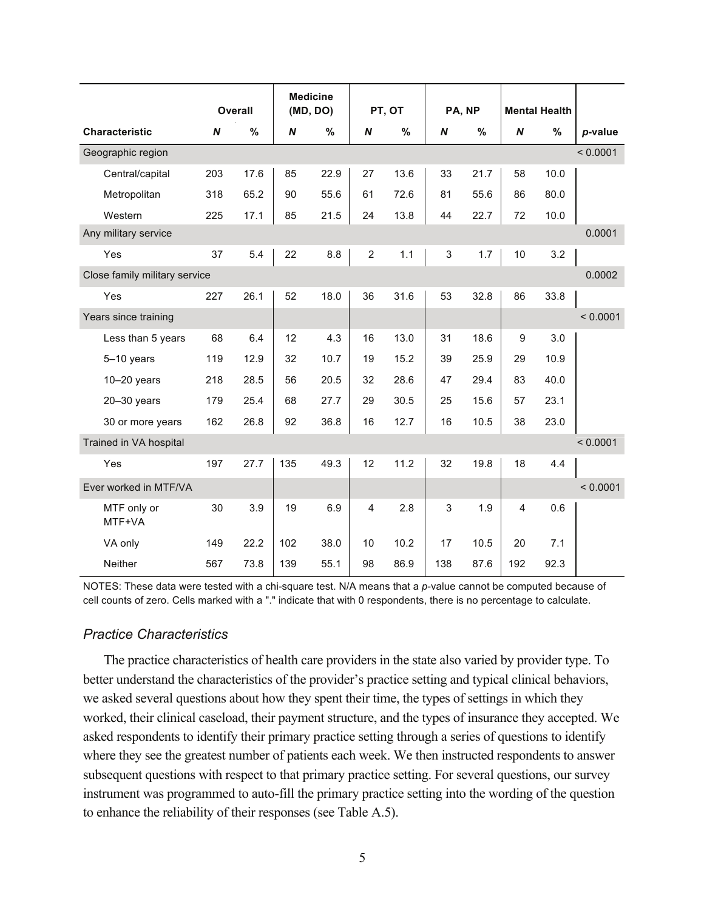|                               |     |                |                  | <b>Medicine</b> |                         |        |                  |        |                |                      |          |
|-------------------------------|-----|----------------|------------------|-----------------|-------------------------|--------|------------------|--------|----------------|----------------------|----------|
|                               |     | <b>Overall</b> |                  | (MD, DO)        |                         | PT, OT |                  | PA, NP |                | <b>Mental Health</b> |          |
| <b>Characteristic</b>         | N   | %              | $\boldsymbol{N}$ | %               | N                       | %      | $\boldsymbol{N}$ | %      | N              | %                    | p-value  |
| Geographic region             |     |                |                  |                 |                         |        |                  |        |                |                      | < 0.0001 |
| Central/capital               | 203 | 17.6           | 85               | 22.9            | 27                      | 13.6   | 33               | 21.7   | 58             | 10.0                 |          |
| Metropolitan                  | 318 | 65.2           | 90               | 55.6            | 61                      | 72.6   | 81               | 55.6   | 86             | 80.0                 |          |
| Western                       | 225 | 17.1           | 85               | 21.5            | 24                      | 13.8   | 44               | 22.7   | 72             | 10.0                 |          |
| Any military service          |     |                |                  |                 |                         |        |                  |        |                |                      | 0.0001   |
| Yes                           | 37  | 5.4            | 22               | 8.8             | $\overline{c}$          | 1.1    | $\sqrt{3}$       | 1.7    | 10             | 3.2                  |          |
| Close family military service |     |                |                  |                 |                         |        |                  |        |                |                      | 0.0002   |
| Yes                           | 227 | 26.1           | 52               | 18.0            | 36                      | 31.6   | 53               | 32.8   | 86             | 33.8                 |          |
| Years since training          |     |                |                  |                 |                         |        |                  |        |                |                      | < 0.0001 |
| Less than 5 years             | 68  | 6.4            | 12               | 4.3             | 16                      | 13.0   | 31               | 18.6   | 9              | 3.0                  |          |
| 5-10 years                    | 119 | 12.9           | 32               | 10.7            | 19                      | 15.2   | 39               | 25.9   | 29             | 10.9                 |          |
| $10-20$ years                 | 218 | 28.5           | 56               | 20.5            | 32                      | 28.6   | 47               | 29.4   | 83             | 40.0                 |          |
| $20 - 30$ years               | 179 | 25.4           | 68               | 27.7            | 29                      | 30.5   | 25               | 15.6   | 57             | 23.1                 |          |
| 30 or more years              | 162 | 26.8           | 92               | 36.8            | 16                      | 12.7   | 16               | 10.5   | 38             | 23.0                 |          |
| Trained in VA hospital        |     |                |                  |                 |                         |        |                  |        |                |                      | < 0.0001 |
| Yes                           | 197 | 27.7           | 135              | 49.3            | 12                      | 11.2   | 32               | 19.8   | 18             | 4.4                  |          |
| Ever worked in MTF/VA         |     |                |                  |                 |                         |        |                  |        |                |                      | < 0.0001 |
| MTF only or<br>MTF+VA         | 30  | 3.9            | 19               | 6.9             | $\overline{\mathbf{4}}$ | 2.8    | 3                | 1.9    | $\overline{4}$ | 0.6                  |          |
| VA only                       | 149 | 22.2           | 102              | 38.0            | 10                      | 10.2   | 17               | 10.5   | 20             | 7.1                  |          |
| <b>Neither</b>                | 567 | 73.8           | 139              | 55.1            | 98                      | 86.9   | 138              | 87.6   | 192            | 92.3                 |          |

NOTES: These data were tested with a chi-square test. N/A means that a *p*-value cannot be computed because of cell counts of zero. Cells marked with a "." indicate that with 0 respondents, there is no percentage to calculate.

#### *Practice Characteristics*

The practice characteristics of health care providers in the state also varied by provider type. To better understand the characteristics of the provider's practice setting and typical clinical behaviors, we asked several questions about how they spent their time, the types of settings in which they worked, their clinical caseload, their payment structure, and the types of insurance they accepted. We asked respondents to identify their primary practice setting through a series of questions to identify where they see the greatest number of patients each week. We then instructed respondents to answer subsequent questions with respect to that primary practice setting. For several questions, our survey instrument was programmed to auto-fill the primary practice setting into the wording of the question to enhance the reliability of their responses (see Table A.5).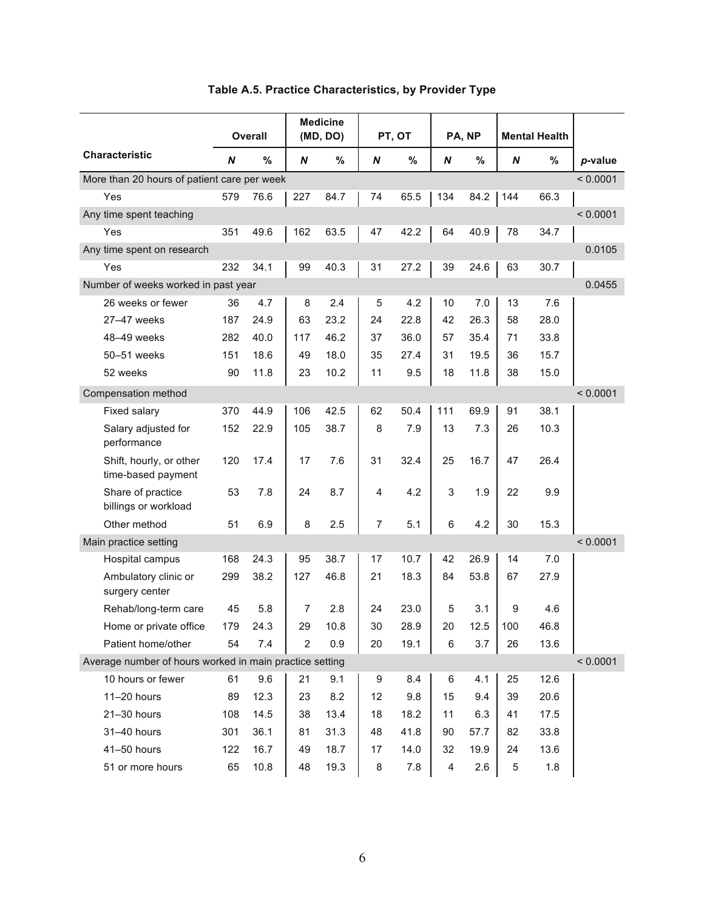|                                                         |     | <b>Overall</b> |                | <b>Medicine</b><br>(MD, DO) |                | PT, OT |       | PA, NP |                  | <b>Mental Health</b> |          |
|---------------------------------------------------------|-----|----------------|----------------|-----------------------------|----------------|--------|-------|--------|------------------|----------------------|----------|
| <b>Characteristic</b>                                   | N   | %              | N              | %                           | N              | $\%$   | N     | %      | $\boldsymbol{N}$ | %                    | p-value  |
| More than 20 hours of patient care per week             |     |                |                |                             |                |        |       |        |                  |                      | < 0.0001 |
| Yes                                                     | 579 | 76.6           | 227            | 84.7                        | 74             | 65.5   | 134   | 84.2   | 144              | 66.3                 |          |
| Any time spent teaching                                 |     |                |                |                             |                |        |       |        |                  |                      | < 0.0001 |
| Yes                                                     | 351 | 49.6           | 162            | 63.5                        | 47             | 42.2   | 64    | 40.9   | 78               | 34.7                 |          |
| Any time spent on research                              |     |                |                |                             |                |        |       |        |                  |                      | 0.0105   |
| Yes                                                     | 232 | 34.1           | 99             | 40.3                        | 31             | 27.2   | 39    | 24.6   | 63               | 30.7                 |          |
| Number of weeks worked in past year                     |     |                |                |                             |                |        |       |        |                  |                      | 0.0455   |
| 26 weeks or fewer                                       | 36  | 4.7            | 8              | 2.4                         | 5              | 4.2    | 10    | 7.0    | 13               | 7.6                  |          |
| 27-47 weeks                                             | 187 | 24.9           | 63             | 23.2                        | 24             | 22.8   | 42    | 26.3   | 58               | 28.0                 |          |
| 48-49 weeks                                             | 282 | 40.0           | 117            | 46.2                        | 37             | 36.0   | 57    | 35.4   | 71               | 33.8                 |          |
| 50-51 weeks                                             | 151 | 18.6           | 49             | 18.0                        | 35             | 27.4   | 31    | 19.5   | 36               | 15.7                 |          |
| 52 weeks                                                | 90  | 11.8           | 23             | 10.2                        | 11             | 9.5    | 18    | 11.8   | 38               | 15.0                 |          |
| Compensation method                                     |     |                |                |                             |                |        |       |        |                  |                      | < 0.0001 |
| Fixed salary                                            | 370 | 44.9           | 106            | 42.5                        | 62             | 50.4   | 111   | 69.9   | 91               | 38.1                 |          |
| Salary adjusted for<br>performance                      | 152 | 22.9           | 105            | 38.7                        | 8              | 7.9    | 13    | 7.3    | 26               | 10.3                 |          |
| Shift, hourly, or other<br>time-based payment           | 120 | 17.4           | 17             | 7.6                         | 31             | 32.4   | 25    | 16.7   | 47               | 26.4                 |          |
| Share of practice<br>billings or workload               | 53  | 7.8            | 24             | 8.7                         | 4              | 4.2    | 3     | 1.9    | 22               | 9.9                  |          |
| Other method                                            | 51  | 6.9            | 8              | 2.5                         | $\overline{7}$ | 5.1    | $\,6$ | 4.2    | 30               | 15.3                 |          |
| Main practice setting                                   |     |                |                |                             |                |        |       |        |                  |                      | < 0.0001 |
| Hospital campus                                         | 168 | 24.3           | 95             | 38.7                        | 17             | 10.7   | 42    | 26.9   | 14               | 7.0                  |          |
| Ambulatory clinic or<br>surgery center                  | 299 | 38.2           | 127            | 46.8                        | 21             | 18.3   | 84    | 53.8   | 67               | 27.9                 |          |
| Rehab/long-term care                                    | 45  | 5.8            | $\overline{7}$ | 2.8                         | 24             | 23.0   | 5     | 3.1    | 9                | 4.6                  |          |
| Home or private office                                  | 179 | 24.3           | 29             | 10.8                        | 30             | 28.9   | 20    | 12.5   | 100              | 46.8                 |          |
| Patient home/other                                      | 54  | 7.4            | $\overline{c}$ | 0.9                         | 20             | 19.1   | 6     | 3.7    | 26               | 13.6                 |          |
| Average number of hours worked in main practice setting |     |                |                |                             |                |        |       |        |                  |                      | < 0.0001 |
| 10 hours or fewer                                       | 61  | 9.6            | 21             | 9.1                         | 9              | 8.4    | 6     | 4.1    | 25               | 12.6                 |          |
| 11-20 hours                                             | 89  | 12.3           | 23             | 8.2                         | 12             | 9.8    | 15    | 9.4    | 39               | 20.6                 |          |
| 21-30 hours                                             | 108 | 14.5           | 38             | 13.4                        | 18             | 18.2   | 11    | 6.3    | 41               | 17.5                 |          |
| 31-40 hours                                             | 301 | 36.1           | 81             | 31.3                        | 48             | 41.8   | 90    | 57.7   | 82               | 33.8                 |          |
| 41-50 hours                                             | 122 | 16.7           | 49             | 18.7                        | 17             | 14.0   | 32    | 19.9   | 24               | 13.6                 |          |
| 51 or more hours                                        | 65  | 10.8           | 48             | 19.3                        | 8              | 7.8    | 4     | 2.6    | 5                | 1.8                  |          |

## **Table A.5. Practice Characteristics, by Provider Type**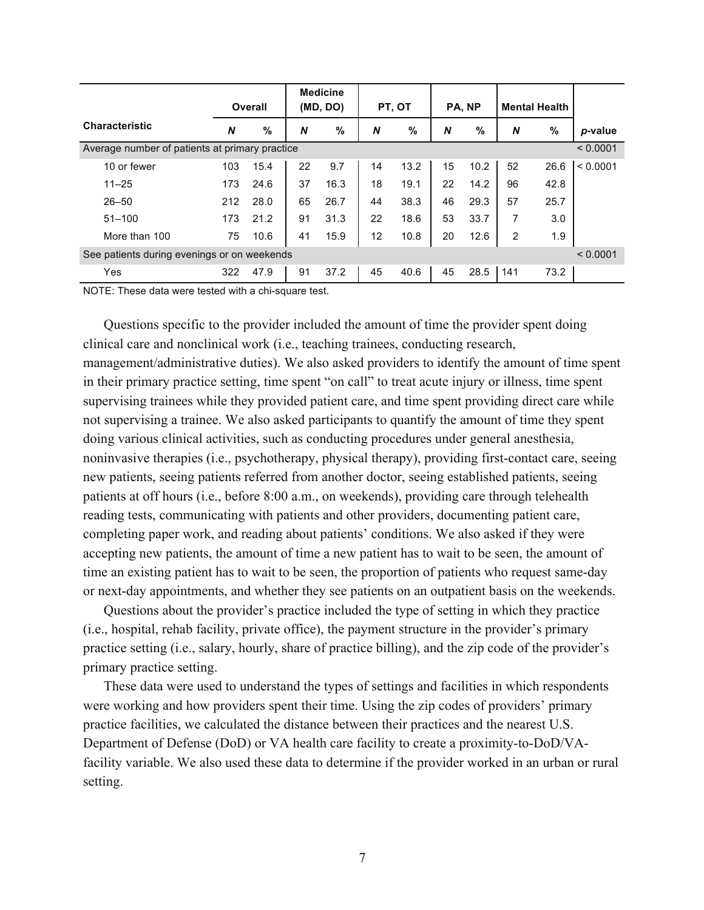|                                                |     | Overall | <b>Medicine</b><br>(MD, DO) |               | PT, OT |      | PA, NP |      | <b>Mental Health</b> |      |          |
|------------------------------------------------|-----|---------|-----------------------------|---------------|--------|------|--------|------|----------------------|------|----------|
| <b>Characteristic</b>                          | N   | $\%$    | N                           | $\frac{0}{0}$ | N      | %    | N      | %    | N                    | %    | p-value  |
| Average number of patients at primary practice |     |         |                             |               |        |      |        |      |                      |      | < 0.0001 |
| 10 or fewer                                    | 103 | 15.4    | 22                          | 9.7           | 14     | 13.2 | 15     | 10.2 | 52                   | 26.6 | < 0.0001 |
| $11 - 25$                                      | 173 | 24.6    | 37                          | 16.3          | 18     | 19.1 | 22     | 14.2 | 96                   | 42.8 |          |
| $26 - 50$                                      | 212 | 28.0    | 65                          | 26.7          | 44     | 38.3 | 46     | 29.3 | 57                   | 25.7 |          |
| $51 - 100$                                     | 173 | 21.2    | 91                          | 31.3          | 22     | 18.6 | 53     | 33.7 | 7                    | 3.0  |          |
| More than 100                                  | 75  | 10.6    | 41                          | 15.9          | 12     | 10.8 | 20     | 12.6 | 2                    | 1.9  |          |
| See patients during evenings or on weekends    |     |         |                             |               |        |      |        |      |                      |      | < 0.0001 |
| Yes                                            | 322 | 47.9    | 91                          | 37.2          | 45     | 40.6 | 45     | 28.5 | 141                  | 73.2 |          |

NOTE: These data were tested with a chi-square test.

Questions specific to the provider included the amount of time the provider spent doing clinical care and nonclinical work (i.e., teaching trainees, conducting research, management/administrative duties). We also asked providers to identify the amount of time spent in their primary practice setting, time spent "on call" to treat acute injury or illness, time spent supervising trainees while they provided patient care, and time spent providing direct care while not supervising a trainee. We also asked participants to quantify the amount of time they spent doing various clinical activities, such as conducting procedures under general anesthesia, noninvasive therapies (i.e., psychotherapy, physical therapy), providing first-contact care, seeing new patients, seeing patients referred from another doctor, seeing established patients, seeing patients at off hours (i.e., before 8:00 a.m., on weekends), providing care through telehealth reading tests, communicating with patients and other providers, documenting patient care, completing paper work, and reading about patients' conditions. We also asked if they were accepting new patients, the amount of time a new patient has to wait to be seen, the amount of time an existing patient has to wait to be seen, the proportion of patients who request same-day or next-day appointments, and whether they see patients on an outpatient basis on the weekends.

Questions about the provider's practice included the type of setting in which they practice (i.e., hospital, rehab facility, private office), the payment structure in the provider's primary practice setting (i.e., salary, hourly, share of practice billing), and the zip code of the provider's primary practice setting.

These data were used to understand the types of settings and facilities in which respondents were working and how providers spent their time. Using the zip codes of providers' primary practice facilities, we calculated the distance between their practices and the nearest U.S. Department of Defense (DoD) or VA health care facility to create a proximity-to-DoD/VAfacility variable. We also used these data to determine if the provider worked in an urban or rural setting.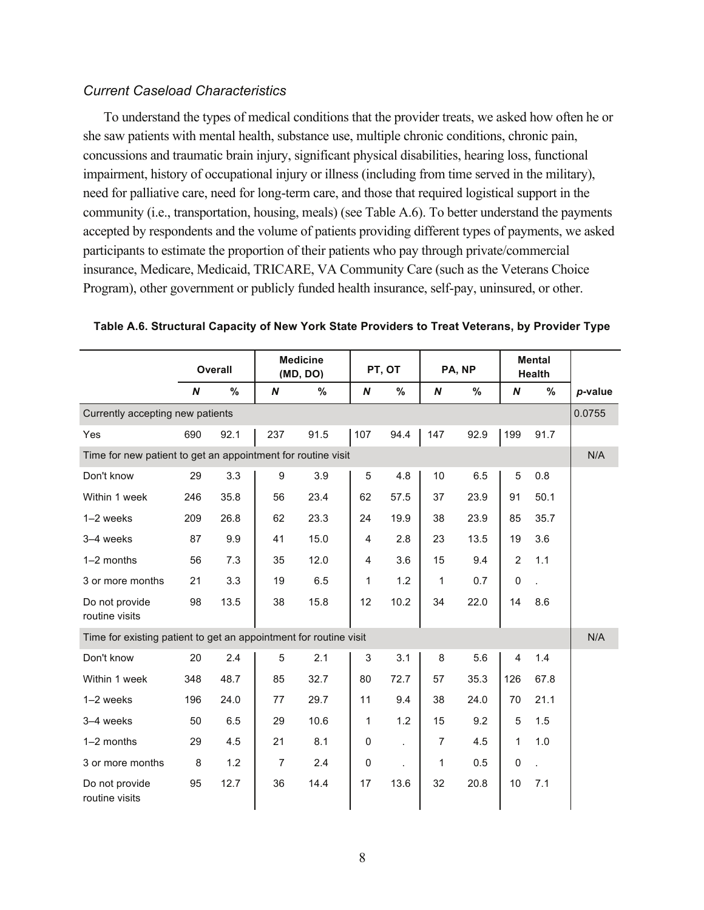#### *Current Caseload Characteristics*

To understand the types of medical conditions that the provider treats, we asked how often he or she saw patients with mental health, substance use, multiple chronic conditions, chronic pain, concussions and traumatic brain injury, significant physical disabilities, hearing loss, functional impairment, history of occupational injury or illness (including from time served in the military), need for palliative care, need for long-term care, and those that required logistical support in the community (i.e., transportation, housing, meals) (see Table A.6). To better understand the payments accepted by respondents and the volume of patients providing different types of payments, we asked participants to estimate the proportion of their patients who pay through private/commercial insurance, Medicare, Medicaid, TRICARE, VA Community Care (such as the Veterans Choice Program), other government or publicly funded health insurance, self-pay, uninsured, or other.

|                                                                   | <b>Overall</b> |      | <b>Medicine</b><br>(MD, DO) |      |           | PT, OT               |                | PA, NP |                | <b>Mental</b><br>Health |         |
|-------------------------------------------------------------------|----------------|------|-----------------------------|------|-----------|----------------------|----------------|--------|----------------|-------------------------|---------|
|                                                                   | N              | %    | N                           | $\%$ | N         | %                    | N              | %      | N              | %                       | p-value |
| Currently accepting new patients                                  |                |      |                             |      |           |                      |                |        |                |                         | 0.0755  |
| Yes                                                               | 690            | 92.1 | 237                         | 91.5 | 107       | 94.4                 | 147            | 92.9   | 199            | 91.7                    |         |
| Time for new patient to get an appointment for routine visit      |                |      |                             |      |           |                      |                |        |                | N/A                     |         |
| Don't know                                                        | 29             | 3.3  | 9                           | 3.9  | 5         | 4.8                  | 10             | 6.5    | 5              | 0.8                     |         |
| Within 1 week                                                     | 246            | 35.8 | 56                          | 23.4 | 62        | 57.5                 | 37             | 23.9   | 91             | 50.1                    |         |
| $1-2$ weeks                                                       | 209            | 26.8 | 62                          | 23.3 | 24        | 19.9                 | 38             | 23.9   | 85             | 35.7                    |         |
| 3-4 weeks                                                         | 87             | 9.9  | 41                          | 15.0 | 4         | 2.8                  | 23             | 13.5   | 19             | 3.6                     |         |
| 1-2 months                                                        | 56             | 7.3  | 35                          | 12.0 | 4         | 3.6                  | 15             | 9.4    | $\overline{c}$ | 1.1                     |         |
| 3 or more months                                                  | 21             | 3.3  | 19                          | 6.5  | 1         | 1.2                  | 1              | 0.7    | $\pmb{0}$      |                         |         |
| Do not provide<br>routine visits                                  | 98             | 13.5 | 38                          | 15.8 | 12        | 10.2                 | 34             | 22.0   | 14             | 8.6                     |         |
| Time for existing patient to get an appointment for routine visit |                |      |                             |      |           |                      |                |        |                |                         | N/A     |
| Don't know                                                        | 20             | 2.4  | 5                           | 2.1  | 3         | 3.1                  | 8              | 5.6    | $\overline{4}$ | 1.4                     |         |
| Within 1 week                                                     | 348            | 48.7 | 85                          | 32.7 | 80        | 72.7                 | 57             | 35.3   | 126            | 67.8                    |         |
| $1-2$ weeks                                                       | 196            | 24.0 | 77                          | 29.7 | 11        | 9.4                  | 38             | 24.0   | 70             | 21.1                    |         |
| 3-4 weeks                                                         | 50             | 6.5  | 29                          | 10.6 | 1         | 1.2                  | 15             | 9.2    | 5              | 1.5                     |         |
| 1-2 months                                                        | 29             | 4.5  | 21                          | 8.1  | 0         | $\mathbf{r}$         | $\overline{7}$ | 4.5    | $\mathbf{1}$   | 1.0                     |         |
| 3 or more months                                                  | 8              | 1.2  | $\overline{7}$              | 2.4  | $\pmb{0}$ | $\ddot{\phantom{0}}$ | 1              | 0.5    | 0              |                         |         |
| Do not provide<br>routine visits                                  | 95             | 12.7 | 36                          | 14.4 | 17        | 13.6                 | 32             | 20.8   | 10             | 7.1                     |         |

**Table A.6. Structural Capacity of New York State Providers to Treat Veterans, by Provider Type**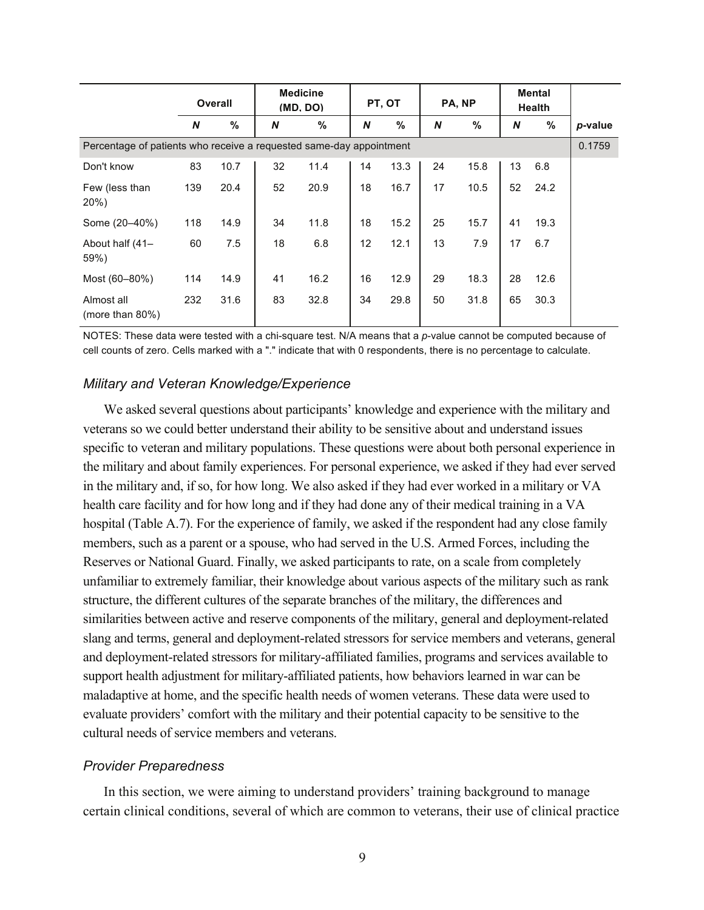|                                                                     | <b>Overall</b> |      | <b>Medicine</b><br>(MD, DO) |      |    | PT, OT |    | PA, NP |    | <b>Mental</b><br><b>Health</b> |         |
|---------------------------------------------------------------------|----------------|------|-----------------------------|------|----|--------|----|--------|----|--------------------------------|---------|
|                                                                     | N              | %    | N                           | %    | N  | %      | N  | %      | N  | %                              | p-value |
| Percentage of patients who receive a requested same-day appointment |                |      |                             |      |    |        |    |        |    |                                | 0.1759  |
| Don't know                                                          | 83             | 10.7 | 32                          | 11.4 | 14 | 13.3   | 24 | 15.8   | 13 | 6.8                            |         |
| Few (less than<br>$20\%)$                                           | 139            | 20.4 | 52                          | 20.9 | 18 | 16.7   | 17 | 10.5   | 52 | 24.2                           |         |
| Some (20-40%)                                                       | 118            | 14.9 | 34                          | 11.8 | 18 | 15.2   | 25 | 15.7   | 41 | 19.3                           |         |
| About half (41-<br>59%)                                             | 60             | 7.5  | 18                          | 6.8  | 12 | 12.1   | 13 | 7.9    | 17 | 6.7                            |         |
| Most (60-80%)                                                       | 114            | 14.9 | 41                          | 16.2 | 16 | 12.9   | 29 | 18.3   | 28 | 12.6                           |         |
| Almost all<br>(more than $80\%$ )                                   | 232            | 31.6 | 83                          | 32.8 | 34 | 29.8   | 50 | 31.8   | 65 | 30.3                           |         |

NOTES: These data were tested with a chi-square test. N/A means that a *p*-value cannot be computed because of cell counts of zero. Cells marked with a "." indicate that with 0 respondents, there is no percentage to calculate.

#### *Military and Veteran Knowledge/Experience*

We asked several questions about participants' knowledge and experience with the military and veterans so we could better understand their ability to be sensitive about and understand issues specific to veteran and military populations. These questions were about both personal experience in the military and about family experiences. For personal experience, we asked if they had ever served in the military and, if so, for how long. We also asked if they had ever worked in a military or VA health care facility and for how long and if they had done any of their medical training in a VA hospital (Table A.7). For the experience of family, we asked if the respondent had any close family members, such as a parent or a spouse, who had served in the U.S. Armed Forces, including the Reserves or National Guard. Finally, we asked participants to rate, on a scale from completely unfamiliar to extremely familiar, their knowledge about various aspects of the military such as rank structure, the different cultures of the separate branches of the military, the differences and similarities between active and reserve components of the military, general and deployment-related slang and terms, general and deployment-related stressors for service members and veterans, general and deployment-related stressors for military-affiliated families, programs and services available to support health adjustment for military-affiliated patients, how behaviors learned in war can be maladaptive at home, and the specific health needs of women veterans. These data were used to evaluate providers' comfort with the military and their potential capacity to be sensitive to the cultural needs of service members and veterans.

#### *Provider Preparedness*

In this section, we were aiming to understand providers' training background to manage certain clinical conditions, several of which are common to veterans, their use of clinical practice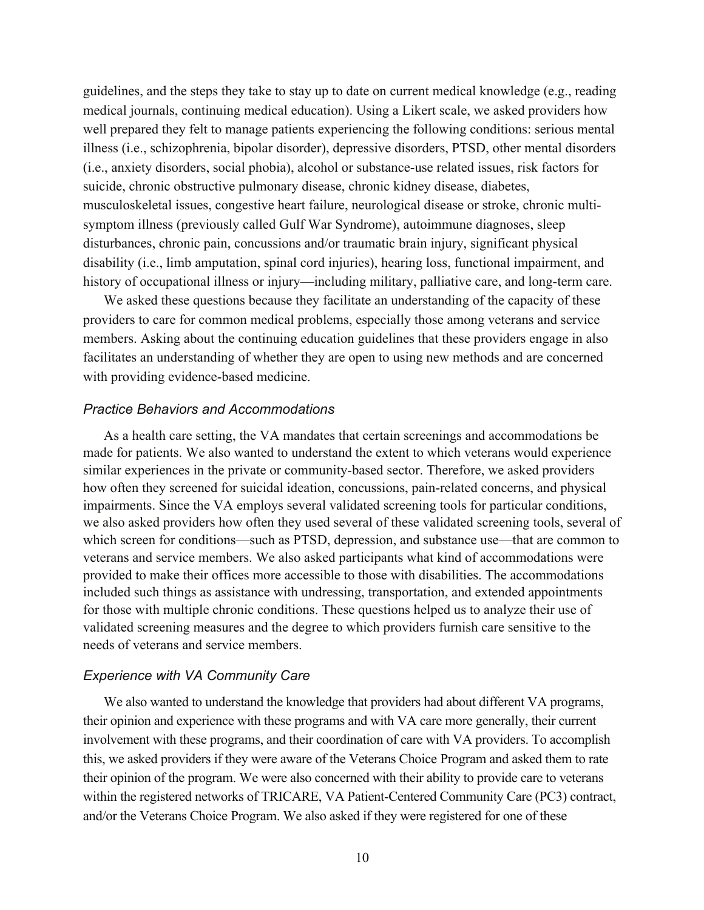guidelines, and the steps they take to stay up to date on current medical knowledge (e.g., reading medical journals, continuing medical education). Using a Likert scale, we asked providers how well prepared they felt to manage patients experiencing the following conditions: serious mental illness (i.e., schizophrenia, bipolar disorder), depressive disorders, PTSD, other mental disorders (i.e., anxiety disorders, social phobia), alcohol or substance-use related issues, risk factors for suicide, chronic obstructive pulmonary disease, chronic kidney disease, diabetes, musculoskeletal issues, congestive heart failure, neurological disease or stroke, chronic multisymptom illness (previously called Gulf War Syndrome), autoimmune diagnoses, sleep disturbances, chronic pain, concussions and/or traumatic brain injury, significant physical disability (i.e., limb amputation, spinal cord injuries), hearing loss, functional impairment, and history of occupational illness or injury—including military, palliative care, and long-term care.

We asked these questions because they facilitate an understanding of the capacity of these providers to care for common medical problems, especially those among veterans and service members. Asking about the continuing education guidelines that these providers engage in also facilitates an understanding of whether they are open to using new methods and are concerned with providing evidence-based medicine.

#### *Practice Behaviors and Accommodations*

As a health care setting, the VA mandates that certain screenings and accommodations be made for patients. We also wanted to understand the extent to which veterans would experience similar experiences in the private or community-based sector. Therefore, we asked providers how often they screened for suicidal ideation, concussions, pain-related concerns, and physical impairments. Since the VA employs several validated screening tools for particular conditions, we also asked providers how often they used several of these validated screening tools, several of which screen for conditions—such as PTSD, depression, and substance use—that are common to veterans and service members. We also asked participants what kind of accommodations were provided to make their offices more accessible to those with disabilities. The accommodations included such things as assistance with undressing, transportation, and extended appointments for those with multiple chronic conditions. These questions helped us to analyze their use of validated screening measures and the degree to which providers furnish care sensitive to the needs of veterans and service members.

#### *Experience with VA Community Care*

We also wanted to understand the knowledge that providers had about different VA programs, their opinion and experience with these programs and with VA care more generally, their current involvement with these programs, and their coordination of care with VA providers. To accomplish this, we asked providers if they were aware of the Veterans Choice Program and asked them to rate their opinion of the program. We were also concerned with their ability to provide care to veterans within the registered networks of TRICARE, VA Patient-Centered Community Care (PC3) contract, and/or the Veterans Choice Program. We also asked if they were registered for one of these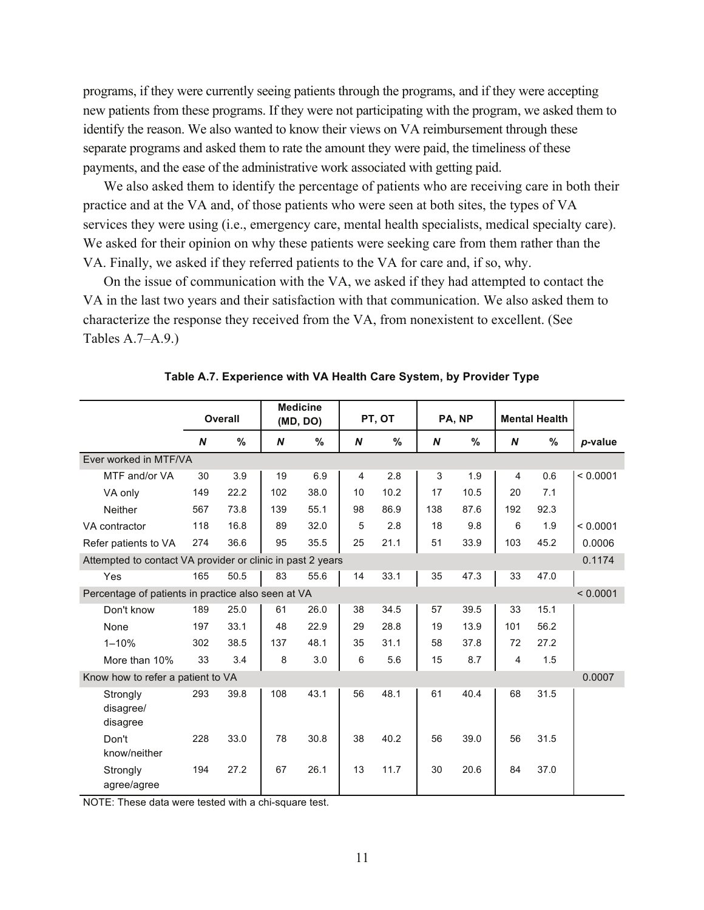programs, if they were currently seeing patients through the programs, and if they were accepting new patients from these programs. If they were not participating with the program, we asked them to identify the reason. We also wanted to know their views on VA reimbursement through these separate programs and asked them to rate the amount they were paid, the timeliness of these payments, and the ease of the administrative work associated with getting paid.

We also asked them to identify the percentage of patients who are receiving care in both their practice and at the VA and, of those patients who were seen at both sites, the types of VA services they were using (i.e., emergency care, mental health specialists, medical specialty care). We asked for their opinion on why these patients were seeking care from them rather than the VA. Finally, we asked if they referred patients to the VA for care and, if so, why.

On the issue of communication with the VA, we asked if they had attempted to contact the VA in the last two years and their satisfaction with that communication. We also asked them to characterize the response they received from the VA, from nonexistent to excellent. (See Tables A.7–A.9.)

|                                                            |     | Overall |     | <b>Medicine</b><br>(MD, DO) |    | PT, OT |     | PA, NP |     | <b>Mental Health</b> |          |
|------------------------------------------------------------|-----|---------|-----|-----------------------------|----|--------|-----|--------|-----|----------------------|----------|
|                                                            | N   | %       | N   | %                           | N  | %      | N   | %      | N   | $\%$                 | p-value  |
| Ever worked in MTF/VA                                      |     |         |     |                             |    |        |     |        |     |                      |          |
| MTF and/or VA                                              | 30  | 3.9     | 19  | 6.9                         | 4  | 2.8    | 3   | 1.9    | 4   | 0.6                  | < 0.0001 |
| VA only                                                    | 149 | 22.2    | 102 | 38.0                        | 10 | 10.2   | 17  | 10.5   | 20  | 7.1                  |          |
| <b>Neither</b>                                             | 567 | 73.8    | 139 | 55.1                        | 98 | 86.9   | 138 | 87.6   | 192 | 92.3                 |          |
| VA contractor                                              | 118 | 16.8    | 89  | 32.0                        | 5  | 2.8    | 18  | 9.8    | 6   | 1.9                  | < 0.0001 |
| Refer patients to VA                                       | 274 | 36.6    | 95  | 35.5                        | 25 | 21.1   | 51  | 33.9   | 103 | 45.2                 | 0.0006   |
| Attempted to contact VA provider or clinic in past 2 years |     |         |     |                             |    |        |     |        |     |                      | 0.1174   |
| Yes                                                        | 165 | 50.5    | 83  | 55.6                        | 14 | 33.1   | 35  | 47.3   | 33  | 47.0                 |          |
| Percentage of patients in practice also seen at VA         |     |         |     |                             |    |        |     |        |     |                      | < 0.0001 |
| Don't know                                                 | 189 | 25.0    | 61  | 26.0                        | 38 | 34.5   | 57  | 39.5   | 33  | 15.1                 |          |
| None                                                       | 197 | 33.1    | 48  | 22.9                        | 29 | 28.8   | 19  | 13.9   | 101 | 56.2                 |          |
| $1 - 10%$                                                  | 302 | 38.5    | 137 | 48.1                        | 35 | 31.1   | 58  | 37.8   | 72  | 27.2                 |          |
| More than 10%                                              | 33  | 3.4     | 8   | 3.0                         | 6  | 5.6    | 15  | 8.7    | 4   | 1.5                  |          |
| Know how to refer a patient to VA                          |     |         |     |                             |    |        |     |        |     |                      | 0.0007   |
| Strongly<br>disagree/<br>disagree                          | 293 | 39.8    | 108 | 43.1                        | 56 | 48.1   | 61  | 40.4   | 68  | 31.5                 |          |
| Don't<br>know/neither                                      | 228 | 33.0    | 78  | 30.8                        | 38 | 40.2   | 56  | 39.0   | 56  | 31.5                 |          |
| Strongly<br>agree/agree                                    | 194 | 27.2    | 67  | 26.1                        | 13 | 11.7   | 30  | 20.6   | 84  | 37.0                 |          |

NOTE: These data were tested with a chi-square test.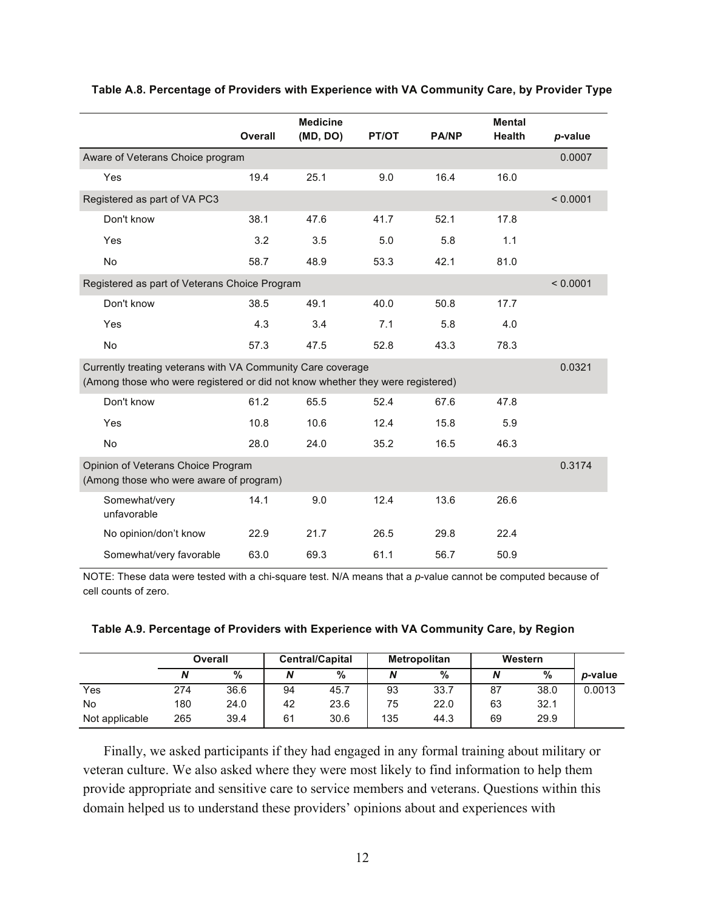|                                                                                                                                               | <b>Overall</b> | <b>Medicine</b><br>(MD, DO) | PT/OT | <b>PA/NP</b> | <b>Mental</b><br><b>Health</b> | p-value  |
|-----------------------------------------------------------------------------------------------------------------------------------------------|----------------|-----------------------------|-------|--------------|--------------------------------|----------|
| Aware of Veterans Choice program                                                                                                              |                |                             |       |              |                                | 0.0007   |
| Yes                                                                                                                                           | 19.4           | 25.1                        | 9.0   | 16.4         | 16.0                           |          |
| Registered as part of VA PC3                                                                                                                  |                |                             |       |              |                                | < 0.0001 |
| Don't know                                                                                                                                    | 38.1           | 47.6                        | 41.7  | 52.1         | 17.8                           |          |
| Yes                                                                                                                                           | 3.2            | 3.5                         | 5.0   | 5.8          | 1.1                            |          |
| No                                                                                                                                            | 58.7           | 48.9                        | 53.3  | 42.1         | 81.0                           |          |
| Registered as part of Veterans Choice Program                                                                                                 |                |                             |       |              |                                | < 0.0001 |
| Don't know                                                                                                                                    | 38.5           | 49.1                        | 40.0  | 50.8         | 17.7                           |          |
| Yes                                                                                                                                           | 4.3            | 3.4                         | 7.1   | 5.8          | 4.0                            |          |
| No                                                                                                                                            | 57.3           | 47.5                        | 52.8  | 43.3         | 78.3                           |          |
| Currently treating veterans with VA Community Care coverage<br>(Among those who were registered or did not know whether they were registered) |                |                             |       |              |                                | 0.0321   |
| Don't know                                                                                                                                    | 61.2           | 65.5                        | 52.4  | 67.6         | 47.8                           |          |
| Yes                                                                                                                                           | 10.8           | 10.6                        | 12.4  | 15.8         | 5.9                            |          |
| No                                                                                                                                            | 28.0           | 24.0                        | 35.2  | 16.5         | 46.3                           |          |
| Opinion of Veterans Choice Program<br>(Among those who were aware of program)                                                                 |                |                             |       |              |                                | 0.3174   |
| Somewhat/very<br>unfavorable                                                                                                                  | 14.1           | 9.0                         | 12.4  | 13.6         | 26.6                           |          |
| No opinion/don't know                                                                                                                         | 22.9           | 21.7                        | 26.5  | 29.8         | 22.4                           |          |
| Somewhat/very favorable                                                                                                                       | 63.0           | 69.3                        | 61.1  | 56.7         | 50.9                           |          |

#### **Table A.8. Percentage of Providers with Experience with VA Community Care, by Provider Type**

NOTE: These data were tested with a chi-square test. N/A means that a *p*-value cannot be computed because of cell counts of zero.

| Table A.9. Percentage of Providers with Experience with VA Community Care, by Region |  |
|--------------------------------------------------------------------------------------|--|
|--------------------------------------------------------------------------------------|--|

|                |     | Overall |    | <b>Central/Capital</b> |     | <b>Metropolitan</b> | Western |      |                 |
|----------------|-----|---------|----|------------------------|-----|---------------------|---------|------|-----------------|
|                |     | $\%$    | N  | $\%$                   | N   | %                   | N       | %    | <i>p</i> -value |
| Yes            | 274 | 36.6    | 94 | 45.7                   | 93  | 33.7                | 87      | 38.0 | 0.0013          |
| No             | 180 | 24.0    | 42 | 23.6                   | 75  | 22.0                | 63      | 32.1 |                 |
| Not applicable | 265 | 39.4    | 61 | 30.6                   | 135 | 44.3                | 69      | 29.9 |                 |

Finally, we asked participants if they had engaged in any formal training about military or veteran culture. We also asked where they were most likely to find information to help them provide appropriate and sensitive care to service members and veterans. Questions within this domain helped us to understand these providers' opinions about and experiences with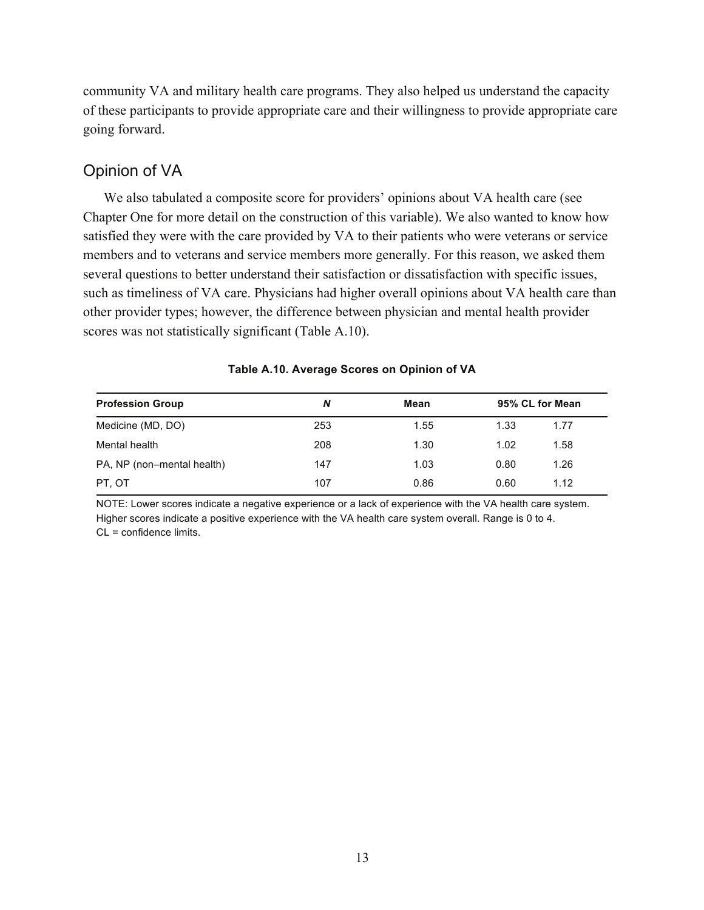community VA and military health care programs. They also helped us understand the capacity of these participants to provide appropriate care and their willingness to provide appropriate care going forward.

## Opinion of VA

We also tabulated a composite score for providers' opinions about VA health care (see Chapter One for more detail on the construction of this variable). We also wanted to know how satisfied they were with the care provided by VA to their patients who were veterans or service members and to veterans and service members more generally. For this reason, we asked them several questions to better understand their satisfaction or dissatisfaction with specific issues, such as timeliness of VA care. Physicians had higher overall opinions about VA health care than other provider types; however, the difference between physician and mental health provider scores was not statistically significant (Table A.10).

| <b>Profession Group</b>    | N   | Mean |      | 95% CL for Mean |
|----------------------------|-----|------|------|-----------------|
| Medicine (MD, DO)          | 253 | 1.55 | 1.33 | 1.77            |
| Mental health              | 208 | 1.30 | 1.02 | 1.58            |
| PA, NP (non-mental health) | 147 | 1.03 | 0.80 | 1.26            |
| PT. OT                     | 107 | 0.86 | 0.60 | 1.12            |

**Table A.10. Average Scores on Opinion of VA** 

NOTE: Lower scores indicate a negative experience or a lack of experience with the VA health care system. Higher scores indicate a positive experience with the VA health care system overall. Range is 0 to 4. CL = confidence limits.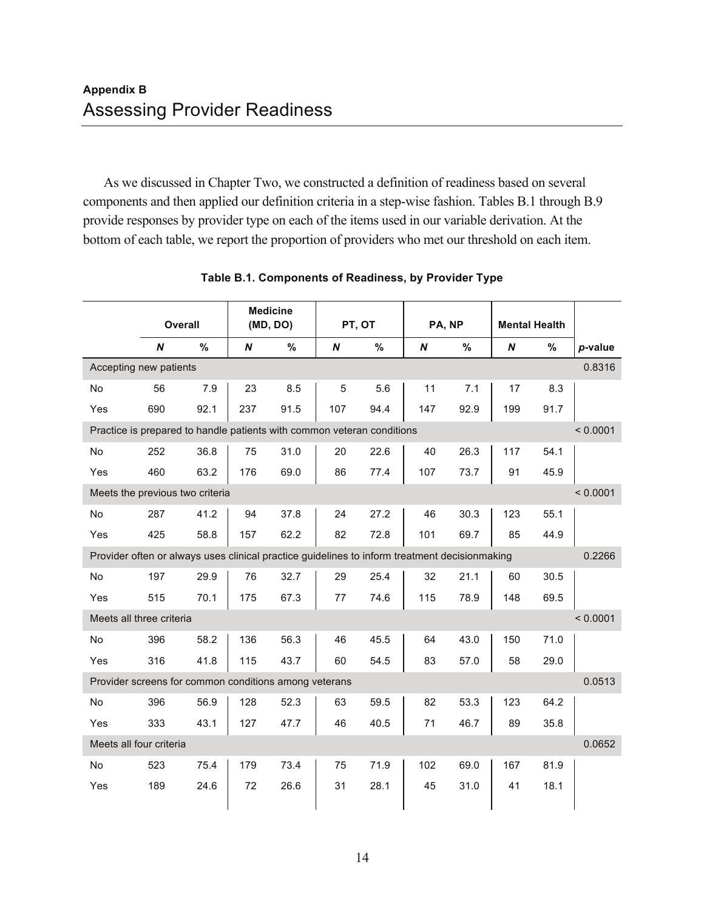As we discussed in Chapter Two, we constructed a definition of readiness based on several components and then applied our definition criteria in a step-wise fashion. Tables B.1 through B.9 provide responses by provider type on each of the items used in our variable derivation. At the bottom of each table, we report the proportion of providers who met our threshold on each item.

|                                 |     | Overall |     | <b>Medicine</b><br>(MD, DO)                                                                   |     | PT, OT | PA, NP |      | <b>Mental Health</b> |      |          |  |  |
|---------------------------------|-----|---------|-----|-----------------------------------------------------------------------------------------------|-----|--------|--------|------|----------------------|------|----------|--|--|
|                                 | N   | $\%$    | N   | %                                                                                             | N   | $\%$   | N      | $\%$ | N                    | %    | p-value  |  |  |
| Accepting new patients          |     |         |     |                                                                                               |     |        |        |      |                      |      | 0.8316   |  |  |
| No                              | 56  | 7.9     | 23  | 8.5                                                                                           | 5   | 5.6    | 11     | 7.1  | 17                   | 8.3  |          |  |  |
| Yes                             | 690 | 92.1    | 237 | 91.5                                                                                          | 107 | 94.4   | 147    | 92.9 | 199                  | 91.7 |          |  |  |
|                                 |     |         |     | Practice is prepared to handle patients with common veteran conditions                        |     |        |        |      |                      |      | < 0.0001 |  |  |
| No                              | 252 | 36.8    | 75  | 31.0                                                                                          | 20  | 22.6   | 40     | 26.3 | 117                  | 54.1 |          |  |  |
| Yes                             | 460 | 63.2    | 176 | 69.0                                                                                          | 86  | 77.4   | 107    | 73.7 | 91                   | 45.9 |          |  |  |
| Meets the previous two criteria |     |         |     |                                                                                               |     |        |        |      |                      |      | < 0.0001 |  |  |
| No                              | 287 | 41.2    | 94  | 37.8                                                                                          | 24  | 27.2   | 46     | 30.3 | 123                  | 55.1 |          |  |  |
| Yes                             | 425 | 58.8    | 157 | 62.2                                                                                          | 82  | 72.8   | 101    | 69.7 | 85                   | 44.9 |          |  |  |
|                                 |     |         |     | Provider often or always uses clinical practice guidelines to inform treatment decisionmaking |     |        |        |      |                      |      | 0.2266   |  |  |
| No                              | 197 | 29.9    | 76  | 32.7                                                                                          | 29  | 25.4   | 32     | 21.1 | 60                   | 30.5 |          |  |  |
| Yes                             | 515 | 70.1    | 175 | 67.3                                                                                          | 77  | 74.6   | 115    | 78.9 | 148                  | 69.5 |          |  |  |
| Meets all three criteria        |     |         |     |                                                                                               |     |        |        |      |                      |      | < 0.0001 |  |  |
| No                              | 396 | 58.2    | 136 | 56.3                                                                                          | 46  | 45.5   | 64     | 43.0 | 150                  | 71.0 |          |  |  |
| Yes                             | 316 | 41.8    | 115 | 43.7                                                                                          | 60  | 54.5   | 83     | 57.0 | 58                   | 29.0 |          |  |  |
|                                 |     |         |     | Provider screens for common conditions among veterans                                         |     |        |        |      |                      |      | 0.0513   |  |  |
| No                              | 396 | 56.9    | 128 | 52.3                                                                                          | 63  | 59.5   | 82     | 53.3 | 123                  | 64.2 |          |  |  |
| Yes                             | 333 | 43.1    | 127 | 47.7                                                                                          | 46  | 40.5   | 71     | 46.7 | 89                   | 35.8 |          |  |  |
| Meets all four criteria         |     |         |     |                                                                                               |     |        |        |      |                      |      | 0.0652   |  |  |
| No                              | 523 | 75.4    | 179 | 73.4                                                                                          | 75  | 71.9   | 102    | 69.0 | 167                  | 81.9 |          |  |  |
| Yes                             | 189 | 24.6    | 72  | 26.6                                                                                          | 31  | 28.1   | 45     | 31.0 | 41                   | 18.1 |          |  |  |

#### **Table B.1. Components of Readiness, by Provider Type**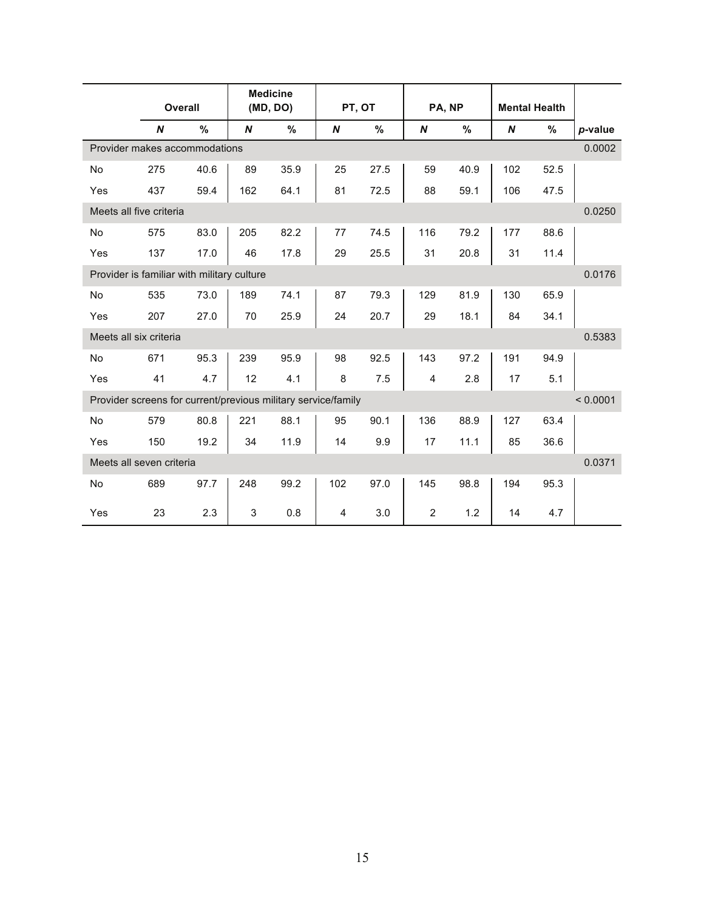|           |                          | <b>Overall</b>                                                |     | <b>Medicine</b><br>(MD, DO) |     | PT, OT |     | PA, NP | <b>Mental Health</b> |      |          |
|-----------|--------------------------|---------------------------------------------------------------|-----|-----------------------------|-----|--------|-----|--------|----------------------|------|----------|
|           | N                        | %                                                             | N   | %                           | N   | $\%$   | N   | $\%$   | N                    | %    | p-value  |
|           |                          | Provider makes accommodations                                 |     |                             |     |        |     |        |                      |      | 0.0002   |
| <b>No</b> | 275                      | 40.6                                                          | 89  | 35.9                        | 25  | 27.5   | 59  | 40.9   | 102                  | 52.5 |          |
| Yes       | 437                      | 59.4                                                          | 162 | 64.1                        | 81  | 72.5   | 88  | 59.1   | 106                  | 47.5 |          |
|           | Meets all five criteria  |                                                               |     |                             |     |        |     |        |                      |      | 0.0250   |
| <b>No</b> | 575                      | 83.0                                                          | 205 | 82.2                        | 77  | 74.5   | 116 | 79.2   | 177                  | 88.6 |          |
| Yes       | 137                      | 17.0                                                          | 46  | 17.8                        | 29  | 25.5   | 31  | 20.8   | 31                   | 11.4 |          |
|           |                          | Provider is familiar with military culture                    |     |                             |     |        |     |        |                      |      | 0.0176   |
| <b>No</b> | 535                      | 73.0                                                          | 189 | 74.1                        | 87  | 79.3   | 129 | 81.9   | 130                  | 65.9 |          |
| Yes       | 207                      | 27.0                                                          | 70  | 25.9                        | 24  | 20.7   | 29  | 18.1   | 84                   | 34.1 |          |
|           | Meets all six criteria   |                                                               |     |                             |     |        |     |        |                      |      | 0.5383   |
| <b>No</b> | 671                      | 95.3                                                          | 239 | 95.9                        | 98  | 92.5   | 143 | 97.2   | 191                  | 94.9 |          |
| Yes       | 41                       | 4.7                                                           | 12  | 4.1                         | 8   | 7.5    | 4   | 2.8    | 17                   | 5.1  |          |
|           |                          | Provider screens for current/previous military service/family |     |                             |     |        |     |        |                      |      | < 0.0001 |
| <b>No</b> | 579                      | 80.8                                                          | 221 | 88.1                        | 95  | 90.1   | 136 | 88.9   | 127                  | 63.4 |          |
| Yes       | 150                      | 19.2                                                          | 34  | 11.9                        | 14  | 9.9    | 17  | 11.1   | 85                   | 36.6 |          |
|           | Meets all seven criteria |                                                               |     |                             |     |        |     |        |                      |      | 0.0371   |
| No        | 689                      | 97.7                                                          | 248 | 99.2                        | 102 | 97.0   | 145 | 98.8   | 194                  | 95.3 |          |
| Yes       | 23                       | 2.3                                                           | 3   | 0.8                         | 4   | 3.0    | 2   | 1.2    | 14                   | 4.7  |          |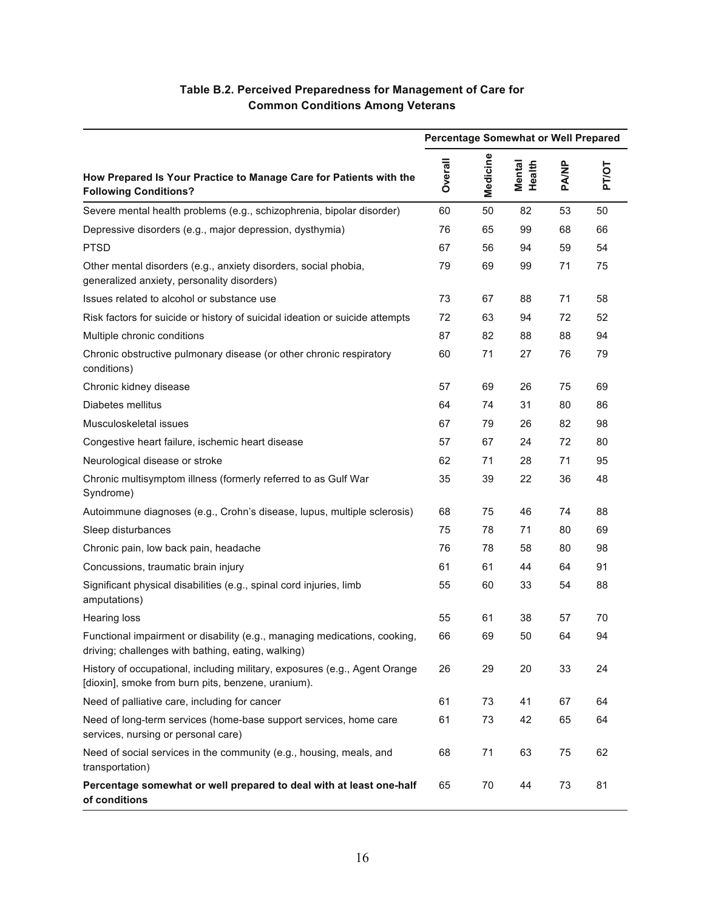## **Table B.2. Perceived Preparedness for Management of Care for Common Conditions Among Veterans**

|                                                                                                                                  | <b>Percentage Somewhat or Well Prepared</b> |          |                         |       |       |  |  |
|----------------------------------------------------------------------------------------------------------------------------------|---------------------------------------------|----------|-------------------------|-------|-------|--|--|
| How Prepared Is Your Practice to Manage Care for Patients with the<br><b>Following Conditions?</b>                               | Overall                                     | Medicine | <b>Mental</b><br>Health | PA/NP | PT/OT |  |  |
| Severe mental health problems (e.g., schizophrenia, bipolar disorder)                                                            | 60                                          | 50       | 82                      | 53    | 50    |  |  |
| Depressive disorders (e.g., major depression, dysthymia)                                                                         | 76                                          | 65       | 99                      | 68    | 66    |  |  |
| <b>PTSD</b>                                                                                                                      | 67                                          | 56       | 94                      | 59    | 54    |  |  |
| Other mental disorders (e.g., anxiety disorders, social phobia,<br>generalized anxiety, personality disorders)                   | 79                                          | 69       | 99                      | 71    | 75    |  |  |
| Issues related to alcohol or substance use                                                                                       | 73                                          | 67       | 88                      | 71    | 58    |  |  |
| Risk factors for suicide or history of suicidal ideation or suicide attempts                                                     | 72                                          | 63       | 94                      | 72    | 52    |  |  |
| Multiple chronic conditions                                                                                                      | 87                                          | 82       | 88                      | 88    | 94    |  |  |
| Chronic obstructive pulmonary disease (or other chronic respiratory<br>conditions)                                               | 60                                          | 71       | 27                      | 76    | 79    |  |  |
| Chronic kidney disease                                                                                                           | 57                                          | 69       | 26                      | 75    | 69    |  |  |
| Diabetes mellitus                                                                                                                | 64                                          | 74       | 31                      | 80    | 86    |  |  |
| Musculoskeletal issues                                                                                                           | 67                                          | 79       | 26                      | 82    | 98    |  |  |
| Congestive heart failure, ischemic heart disease                                                                                 | 57                                          | 67       | 24                      | 72    | 80    |  |  |
| Neurological disease or stroke                                                                                                   | 62                                          | 71       | 28                      | 71    | 95    |  |  |
| Chronic multisymptom illness (formerly referred to as Gulf War<br>Syndrome)                                                      | 35                                          | 39       | 22                      | 36    | 48    |  |  |
| Autoimmune diagnoses (e.g., Crohn's disease, lupus, multiple sclerosis)                                                          | 68                                          | 75       | 46                      | 74    | 88    |  |  |
| Sleep disturbances                                                                                                               | 75                                          | 78       | 71                      | 80    | 69    |  |  |
| Chronic pain, low back pain, headache                                                                                            | 76                                          | 78       | 58                      | 80    | 98    |  |  |
| Concussions, traumatic brain injury                                                                                              | 61                                          | 61       | 44                      | 64    | 91    |  |  |
| Significant physical disabilities (e.g., spinal cord injuries, limb<br>amputations)                                              | 55                                          | 60       | 33                      | 54    | 88    |  |  |
| <b>Hearing loss</b>                                                                                                              | 55                                          | 61       | 38                      | 57    | 70    |  |  |
| Functional impairment or disability (e.g., managing medications, cooking,<br>driving; challenges with bathing, eating, walking)  | 66                                          | 69       | 50                      | 64    | 94    |  |  |
| History of occupational, including military, exposures (e.g., Agent Orange<br>[dioxin], smoke from burn pits, benzene, uranium). | 26                                          | 29       | 20                      | 33    | 24    |  |  |
| Need of palliative care, including for cancer                                                                                    | 61                                          | 73       | 41                      | 67    | 64    |  |  |
| Need of long-term services (home-base support services, home care<br>services, nursing or personal care)                         | 61                                          | 73       | 42                      | 65    | 64    |  |  |
| Need of social services in the community (e.g., housing, meals, and<br>transportation)                                           | 68                                          | 71       | 63                      | 75    | 62    |  |  |
| Percentage somewhat or well prepared to deal with at least one-half<br>of conditions                                             | 65                                          | 70       | 44                      | 73    | 81    |  |  |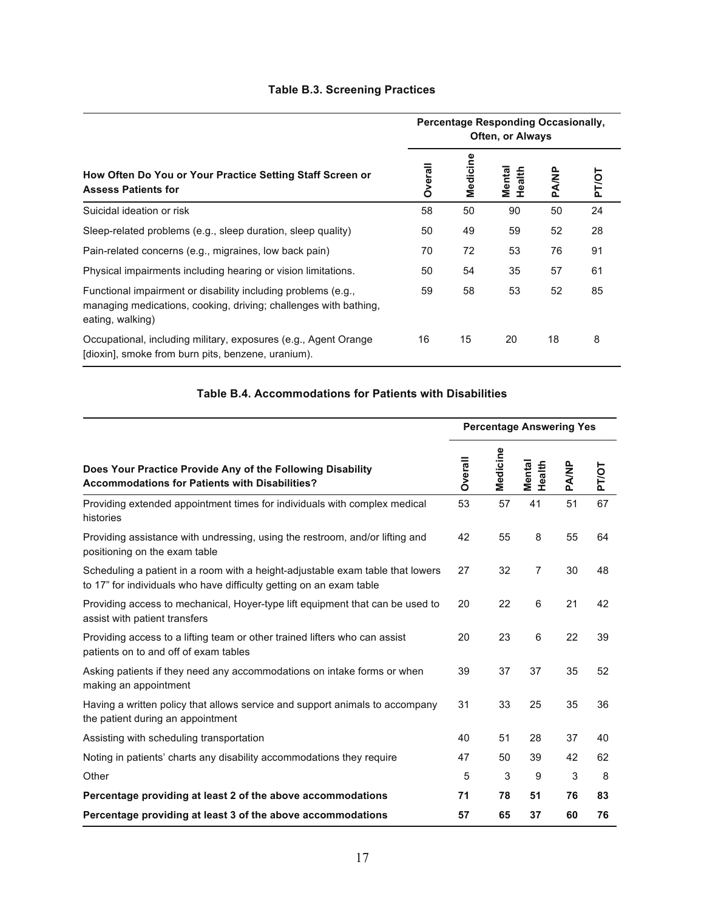## **Table B.3. Screening Practices**

|                                                                                                                                                       | <b>Percentage Responding Occasionally,</b><br><b>Often, or Always</b> |          |                         |       |              |  |  |
|-------------------------------------------------------------------------------------------------------------------------------------------------------|-----------------------------------------------------------------------|----------|-------------------------|-------|--------------|--|--|
| How Often Do You or Your Practice Setting Staff Screen or<br><b>Assess Patients for</b>                                                               | <b>Overall</b>                                                        | Medicine | <b>Mental</b><br>Health | PA/NP | <b>PT/OT</b> |  |  |
| Suicidal ideation or risk                                                                                                                             | 58                                                                    | 50       | 90                      | 50    | 24           |  |  |
| Sleep-related problems (e.g., sleep duration, sleep quality)                                                                                          | 50                                                                    | 49       | 59                      | 52    | 28           |  |  |
| Pain-related concerns (e.g., migraines, low back pain)                                                                                                | 70                                                                    | 72       | 53                      | 76    | 91           |  |  |
| Physical impairments including hearing or vision limitations.                                                                                         | 50                                                                    | 54       | 35                      | 57    | 61           |  |  |
| Functional impairment or disability including problems (e.g.,<br>managing medications, cooking, driving; challenges with bathing,<br>eating, walking) | 59                                                                    | 58       | 53                      | 52    | 85           |  |  |
| Occupational, including military, exposures (e.g., Agent Orange<br>[dioxin], smoke from burn pits, benzene, uranium).                                 | 16                                                                    | 15       | 20                      | 18    | 8            |  |  |

## **Table B.4. Accommodations for Patients with Disabilities**

|                                                                                                                                                       |         |          | <b>Percentage Answering Yes</b> |       |              |
|-------------------------------------------------------------------------------------------------------------------------------------------------------|---------|----------|---------------------------------|-------|--------------|
| Does Your Practice Provide Any of the Following Disability<br><b>Accommodations for Patients with Disabilities?</b>                                   | Overall | Medicine | <b>Mental</b><br>Health         | PA/NP | <b>PT/OT</b> |
| Providing extended appointment times for individuals with complex medical<br>histories                                                                | 53      | 57       | 41                              | 51    | 67           |
| Providing assistance with undressing, using the restroom, and/or lifting and<br>positioning on the exam table                                         | 42      | 55       | 8                               | 55    | 64           |
| Scheduling a patient in a room with a height-adjustable exam table that lowers<br>to 17" for individuals who have difficulty getting on an exam table | 27      | 32       | $\overline{7}$                  | 30    | 48           |
| Providing access to mechanical, Hoyer-type lift equipment that can be used to<br>assist with patient transfers                                        | 20      | 22       | 6                               | 21    | 42           |
| Providing access to a lifting team or other trained lifters who can assist<br>patients on to and off of exam tables                                   | 20      | 23       | 6                               | 22    | 39           |
| Asking patients if they need any accommodations on intake forms or when<br>making an appointment                                                      | 39      | 37       | 37                              | 35    | 52           |
| Having a written policy that allows service and support animals to accompany<br>the patient during an appointment                                     | 31      | 33       | 25                              | 35    | 36           |
| Assisting with scheduling transportation                                                                                                              | 40      | 51       | 28                              | 37    | 40           |
| Noting in patients' charts any disability accommodations they require                                                                                 | 47      | 50       | 39                              | 42    | 62           |
| Other                                                                                                                                                 | 5       | 3        | 9                               | 3     | 8            |
| Percentage providing at least 2 of the above accommodations                                                                                           | 71      | 78       | 51                              | 76    | 83           |
| Percentage providing at least 3 of the above accommodations                                                                                           | 57      | 65       | 37                              | 60    | 76           |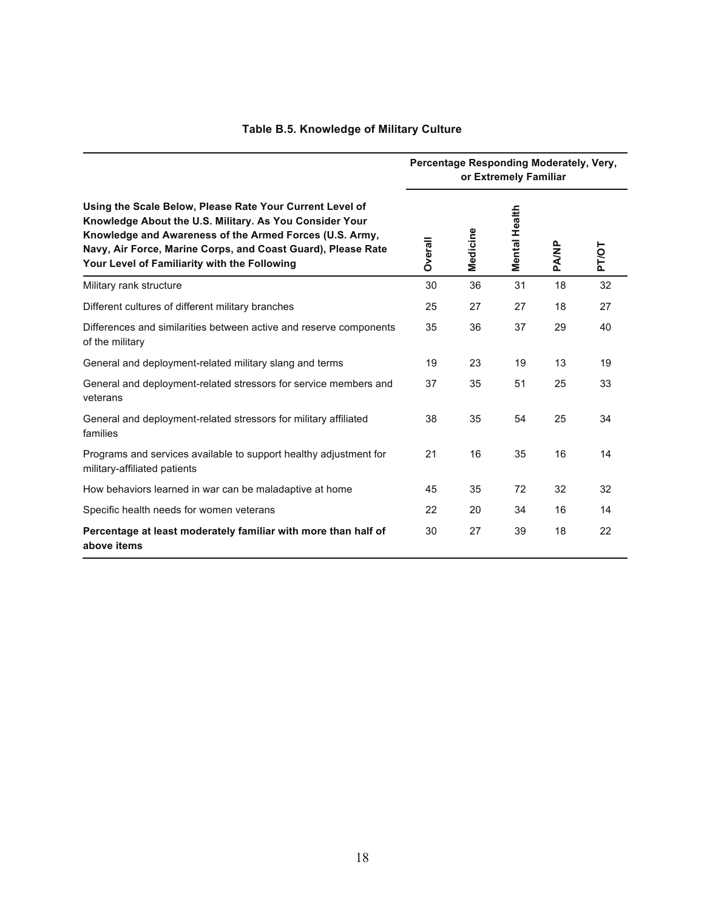|                                                                                                                                                                                                                                                                                                | Percentage Responding Moderately, Very,<br>or Extremely Familiar |          |               |       |              |  |  |
|------------------------------------------------------------------------------------------------------------------------------------------------------------------------------------------------------------------------------------------------------------------------------------------------|------------------------------------------------------------------|----------|---------------|-------|--------------|--|--|
| Using the Scale Below, Please Rate Your Current Level of<br>Knowledge About the U.S. Military. As You Consider Your<br>Knowledge and Awareness of the Armed Forces (U.S. Army,<br>Navy, Air Force, Marine Corps, and Coast Guard), Please Rate<br>Your Level of Familiarity with the Following | <b>Dverall</b>                                                   | Medicine | Mental Health | PA/NP | <b>PT/OT</b> |  |  |
| Military rank structure                                                                                                                                                                                                                                                                        | 30                                                               | 36       | 31            | 18    | 32           |  |  |
| Different cultures of different military branches                                                                                                                                                                                                                                              | 25                                                               | 27       | 27            | 18    | 27           |  |  |
| Differences and similarities between active and reserve components<br>of the military                                                                                                                                                                                                          | 35                                                               | 36       | 37            | 29    | 40           |  |  |
| General and deployment-related military slang and terms                                                                                                                                                                                                                                        | 19                                                               | 23       | 19            | 13    | 19           |  |  |
| General and deployment-related stressors for service members and<br>veterans                                                                                                                                                                                                                   | 37                                                               | 35       | 51            | 25    | 33           |  |  |
| General and deployment-related stressors for military affiliated<br>families                                                                                                                                                                                                                   | 38                                                               | 35       | 54            | 25    | 34           |  |  |
| Programs and services available to support healthy adjustment for<br>military-affiliated patients                                                                                                                                                                                              | 21                                                               | 16       | 35            | 16    | 14           |  |  |
| How behaviors learned in war can be maladaptive at home                                                                                                                                                                                                                                        | 45                                                               | 35       | 72            | 32    | 32           |  |  |
| Specific health needs for women veterans                                                                                                                                                                                                                                                       | 22                                                               | 20       | 34            | 16    | 14           |  |  |
| Percentage at least moderately familiar with more than half of<br>above items                                                                                                                                                                                                                  | 30                                                               | 27       | 39            | 18    | 22           |  |  |

## **Table B.5. Knowledge of Military Culture**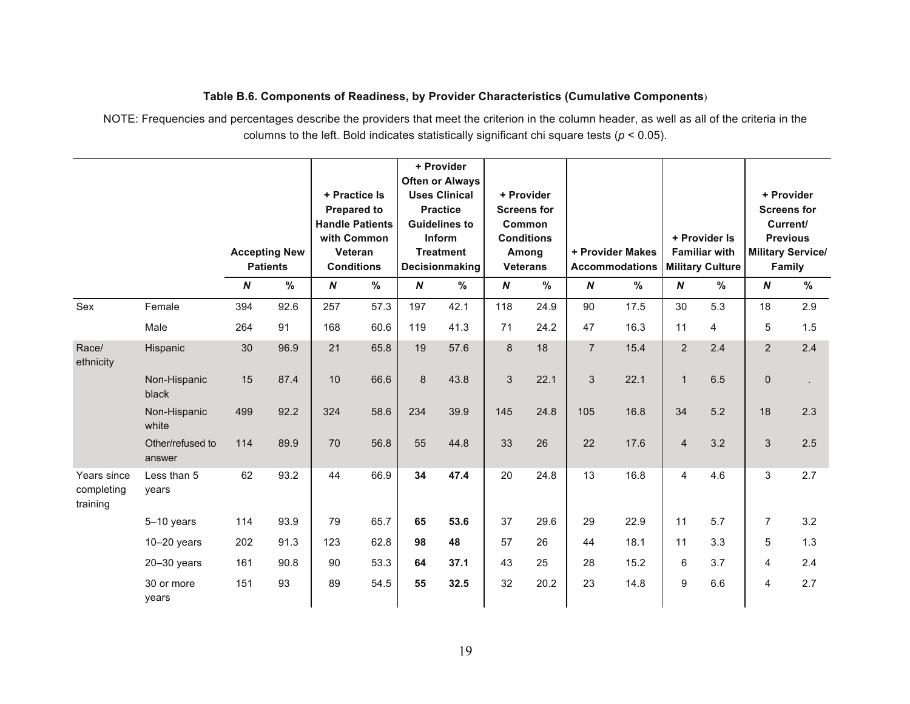#### **Table B.6. Components of Readiness, by Provider Characteristics (Cumulative Components**)

NOTE: Frequencies and percentages describe the providers that meet the criterion in the column header, as well as all of the criteria in the columns to the left. Bold indicates statistically significant chi square tests (*p* < 0.05).

|                                       |                            |                  |                                         |                  | + Practice Is<br><b>Prepared to</b>                                   |                  | + Provider<br><b>Often or Always</b><br><b>Uses Clinical</b><br><b>Practice</b> |                  | + Provider<br><b>Screens for</b>                        |                  |                                           |                  |                                                                  |                  | + Provider<br><b>Screens for</b>                                  |
|---------------------------------------|----------------------------|------------------|-----------------------------------------|------------------|-----------------------------------------------------------------------|------------------|---------------------------------------------------------------------------------|------------------|---------------------------------------------------------|------------------|-------------------------------------------|------------------|------------------------------------------------------------------|------------------|-------------------------------------------------------------------|
|                                       |                            |                  | <b>Accepting New</b><br><b>Patients</b> |                  | <b>Handle Patients</b><br>with Common<br>Veteran<br><b>Conditions</b> |                  | <b>Guidelines to</b><br>Inform<br><b>Treatment</b><br>Decisionmaking            |                  | Common<br><b>Conditions</b><br>Among<br><b>Veterans</b> |                  | + Provider Makes<br><b>Accommodations</b> |                  | + Provider Is<br><b>Familiar with</b><br><b>Military Culture</b> |                  | Current/<br><b>Previous</b><br><b>Military Service/</b><br>Family |
|                                       |                            | $\boldsymbol{N}$ | $\%$                                    | $\boldsymbol{N}$ | %                                                                     | $\boldsymbol{N}$ | %                                                                               | $\boldsymbol{N}$ | $\frac{9}{6}$                                           | $\boldsymbol{N}$ | $\frac{9}{6}$                             | $\boldsymbol{N}$ | $\%$                                                             | $\boldsymbol{N}$ | $\%$                                                              |
| Sex                                   | Female                     | 394              | 92.6                                    | 257              | 57.3                                                                  | 197              | 42.1                                                                            | 118              | 24.9                                                    | 90               | 17.5                                      | 30               | 5.3                                                              | 18               | 2.9                                                               |
|                                       | Male                       | 264              | 91                                      | 168              | 60.6                                                                  | 119              | 41.3                                                                            | 71               | 24.2                                                    | 47               | 16.3                                      | 11               | 4                                                                | 5                | 1.5                                                               |
| Race/<br>ethnicity                    | Hispanic                   | 30               | 96.9                                    | 21               | 65.8                                                                  | 19               | 57.6                                                                            | 8                | 18                                                      | $\overline{7}$   | 15.4                                      | $\overline{2}$   | 2.4                                                              | $\overline{2}$   | 2.4                                                               |
|                                       | Non-Hispanic<br>black      | 15               | 87.4                                    | 10               | 66.6                                                                  | 8                | 43.8                                                                            | 3                | 22.1                                                    | 3                | 22.1                                      | $\mathbf{1}$     | 6.5                                                              | $\pmb{0}$        |                                                                   |
|                                       | Non-Hispanic<br>white      | 499              | 92.2                                    | 324              | 58.6                                                                  | 234              | 39.9                                                                            | 145              | 24.8                                                    | 105              | 16.8                                      | 34               | 5.2                                                              | 18               | 2.3                                                               |
|                                       | Other/refused to<br>answer | 114              | 89.9                                    | 70               | 56.8                                                                  | 55               | 44.8                                                                            | 33               | 26                                                      | 22               | 17.6                                      | $\overline{4}$   | 3.2                                                              | 3                | 2.5                                                               |
| Years since<br>completing<br>training | Less than 5<br>years       | 62               | 93.2                                    | 44               | 66.9                                                                  | 34               | 47.4                                                                            | 20               | 24.8                                                    | 13               | 16.8                                      | 4                | 4.6                                                              | 3                | 2.7                                                               |
|                                       | 5-10 years                 | 114              | 93.9                                    | 79               | 65.7                                                                  | 65               | 53.6                                                                            | 37               | 29.6                                                    | 29               | 22.9                                      | 11               | 5.7                                                              | $\overline{7}$   | 3.2                                                               |
|                                       | $10-20$ years              | 202              | 91.3                                    | 123              | 62.8                                                                  | 98               | 48                                                                              | 57               | 26                                                      | 44               | 18.1                                      | 11               | 3.3                                                              | 5                | 1.3                                                               |
|                                       | $20 - 30$ years            | 161              | 90.8                                    | 90               | 53.3                                                                  | 64               | 37.1                                                                            | 43               | 25                                                      | 28               | 15.2                                      | 6                | 3.7                                                              | 4                | 2.4                                                               |
|                                       | 30 or more<br>years        | 151              | 93                                      | 89               | 54.5                                                                  | 55               | 32.5                                                                            | 32               | 20.2                                                    | 23               | 14.8                                      | 9                | 6.6                                                              | $\overline{4}$   | 2.7                                                               |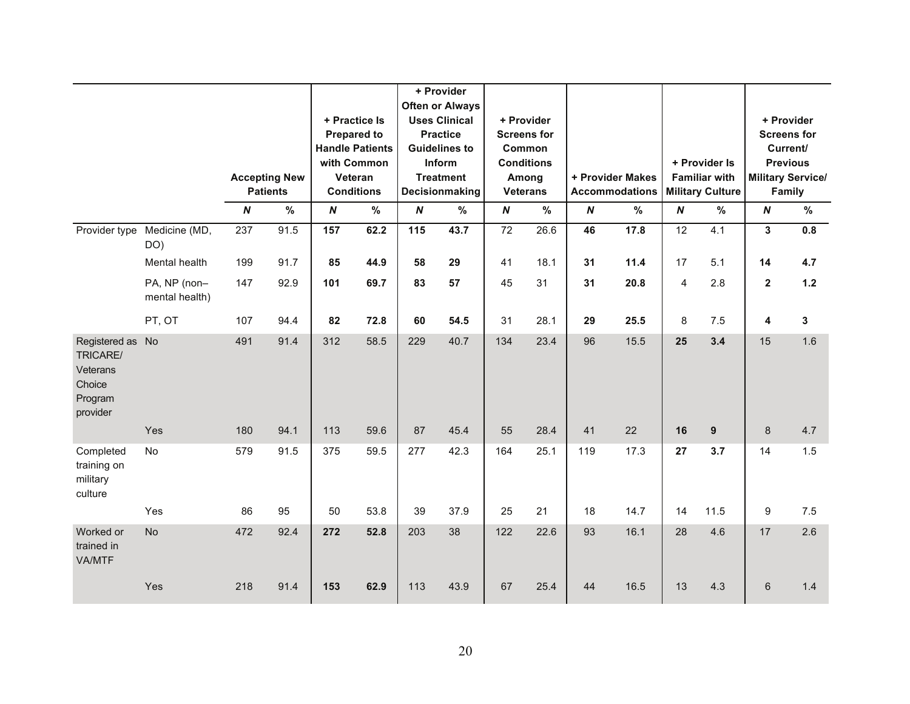|                                                                           |                                |                         | <b>Accepting New</b><br><b>Patients</b> |                                       | + Practice Is<br><b>Prepared to</b><br><b>Handle Patients</b><br>with Common<br>Veteran<br><b>Conditions</b> |                                       | + Provider<br><b>Often or Always</b><br><b>Uses Clinical</b><br><b>Practice</b><br><b>Guidelines to</b><br>Inform<br><b>Treatment</b><br>Decisionmaking |                                     | + Provider<br><b>Screens for</b><br>Common<br><b>Conditions</b><br>Among<br><b>Veterans</b> |                        | + Provider Makes<br><b>Accommodations</b> |                        | + Provider Is<br><b>Familiar with</b><br><b>Military Culture</b> |                                             | + Provider<br><b>Screens for</b><br>Current/<br><b>Previous</b><br><b>Military Service/</b><br>Family |
|---------------------------------------------------------------------------|--------------------------------|-------------------------|-----------------------------------------|---------------------------------------|--------------------------------------------------------------------------------------------------------------|---------------------------------------|---------------------------------------------------------------------------------------------------------------------------------------------------------|-------------------------------------|---------------------------------------------------------------------------------------------|------------------------|-------------------------------------------|------------------------|------------------------------------------------------------------|---------------------------------------------|-------------------------------------------------------------------------------------------------------|
|                                                                           | Medicine (MD,                  | $\boldsymbol{N}$<br>237 | %<br>91.5                               | $\boldsymbol{N}$<br>$\frac{157}{157}$ | $\frac{9}{6}$<br>62.2                                                                                        | $\boldsymbol{N}$<br>$\frac{115}{115}$ | %<br>43.7                                                                                                                                               | $\boldsymbol{N}$<br>$\overline{72}$ | %<br>26.6                                                                                   | $\boldsymbol{N}$<br>46 | %<br>17.8                                 | $\boldsymbol{N}$<br>12 | %<br>4.1                                                         | $\boldsymbol{N}$<br>$\overline{\mathbf{3}}$ | %<br>0.8                                                                                              |
| Provider type                                                             | DO)                            |                         |                                         |                                       |                                                                                                              |                                       |                                                                                                                                                         |                                     |                                                                                             |                        |                                           |                        |                                                                  |                                             |                                                                                                       |
|                                                                           | Mental health                  | 199                     | 91.7                                    | 85                                    | 44.9                                                                                                         | 58                                    | 29                                                                                                                                                      | 41                                  | 18.1                                                                                        | 31                     | 11.4                                      | 17                     | 5.1                                                              | 14                                          | 4.7                                                                                                   |
|                                                                           | PA, NP (non-<br>mental health) | 147                     | 92.9                                    | 101                                   | 69.7                                                                                                         | 83                                    | 57                                                                                                                                                      | 45                                  | 31                                                                                          | 31                     | 20.8                                      | 4                      | 2.8                                                              | $\mathbf{2}$                                | $1.2$                                                                                                 |
|                                                                           | PT, OT                         | 107                     | 94.4                                    | 82                                    | 72.8                                                                                                         | 60                                    | 54.5                                                                                                                                                    | 31                                  | 28.1                                                                                        | 29                     | 25.5                                      | 8                      | 7.5                                                              | 4                                           | 3                                                                                                     |
| Registered as No<br>TRICARE/<br>Veterans<br>Choice<br>Program<br>provider |                                | 491                     | 91.4                                    | 312                                   | 58.5                                                                                                         | 229                                   | 40.7                                                                                                                                                    | 134                                 | 23.4                                                                                        | 96                     | 15.5                                      | 25                     | 3.4                                                              | 15                                          | 1.6                                                                                                   |
|                                                                           | Yes                            | 180                     | 94.1                                    | 113                                   | 59.6                                                                                                         | 87                                    | 45.4                                                                                                                                                    | 55                                  | 28.4                                                                                        | 41                     | 22                                        | 16                     | $\boldsymbol{9}$                                                 | $\bf 8$                                     | 4.7                                                                                                   |
| Completed<br>training on<br>military<br>culture                           | No                             | 579                     | 91.5                                    | 375                                   | 59.5                                                                                                         | 277                                   | 42.3                                                                                                                                                    | 164                                 | 25.1                                                                                        | 119                    | 17.3                                      | 27                     | 3.7                                                              | 14                                          | 1.5                                                                                                   |
|                                                                           | Yes                            | 86                      | 95                                      | 50                                    | 53.8                                                                                                         | 39                                    | 37.9                                                                                                                                                    | 25                                  | 21                                                                                          | 18                     | 14.7                                      | 14                     | 11.5                                                             | 9                                           | 7.5                                                                                                   |
| Worked or<br>trained in<br>VA/MTF                                         | <b>No</b>                      | 472                     | 92.4                                    | 272                                   | 52.8                                                                                                         | 203                                   | 38                                                                                                                                                      | 122                                 | 22.6                                                                                        | 93                     | 16.1                                      | 28                     | 4.6                                                              | 17                                          | 2.6                                                                                                   |
|                                                                           | Yes                            | 218                     | 91.4                                    | 153                                   | 62.9                                                                                                         | 113                                   | 43.9                                                                                                                                                    | 67                                  | 25.4                                                                                        | 44                     | 16.5                                      | 13                     | 4.3                                                              | 6                                           | 1.4                                                                                                   |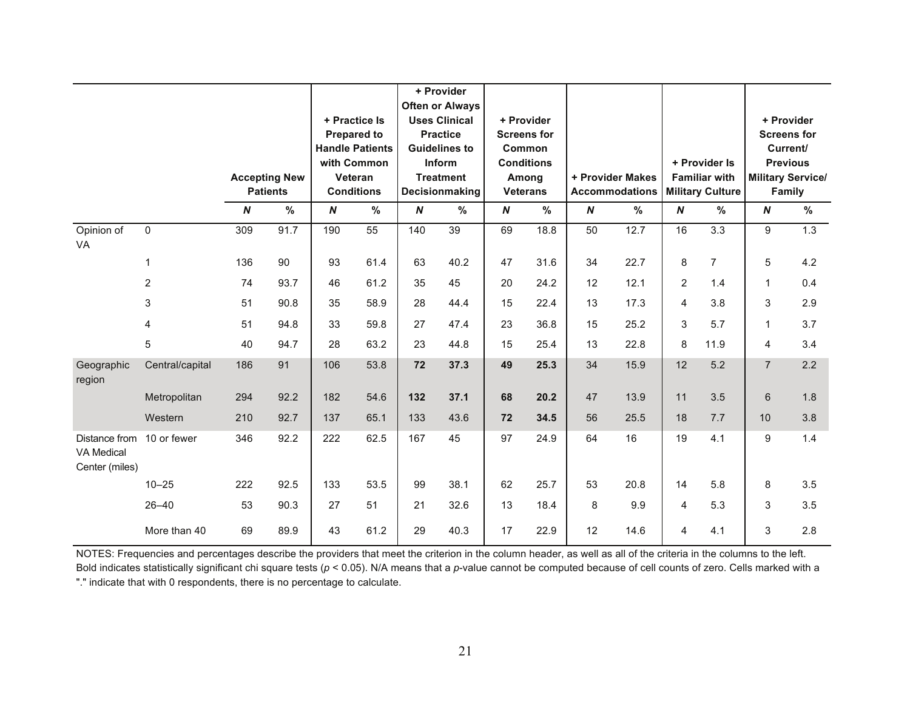|                                                      |                         |                  |                                         |                  | + Practice Is                                                                               |                  | + Provider<br><b>Often or Always</b><br><b>Uses Clinical</b>                            |                  | + Provider                                                                    |                  |                                           |                  |                                                                  |                  | + Provider                                                                              |
|------------------------------------------------------|-------------------------|------------------|-----------------------------------------|------------------|---------------------------------------------------------------------------------------------|------------------|-----------------------------------------------------------------------------------------|------------------|-------------------------------------------------------------------------------|------------------|-------------------------------------------|------------------|------------------------------------------------------------------|------------------|-----------------------------------------------------------------------------------------|
|                                                      |                         |                  | <b>Accepting New</b><br><b>Patients</b> |                  | <b>Prepared to</b><br><b>Handle Patients</b><br>with Common<br>Veteran<br><b>Conditions</b> |                  | <b>Practice</b><br><b>Guidelines to</b><br>Inform<br><b>Treatment</b><br>Decisionmaking |                  | <b>Screens for</b><br>Common<br><b>Conditions</b><br>Among<br><b>Veterans</b> |                  | + Provider Makes<br><b>Accommodations</b> |                  | + Provider Is<br><b>Familiar with</b><br><b>Military Culture</b> |                  | <b>Screens for</b><br>Current/<br><b>Previous</b><br><b>Military Service/</b><br>Family |
|                                                      |                         | $\boldsymbol{N}$ | %                                       | $\boldsymbol{N}$ | $\%$                                                                                        | $\boldsymbol{N}$ | %                                                                                       | $\boldsymbol{N}$ | %                                                                             | $\boldsymbol{N}$ | %                                         | $\boldsymbol{N}$ | %                                                                | $\boldsymbol{N}$ | $\%$                                                                                    |
| Opinion of<br>VA                                     | $\mathbf 0$             | 309              | 91.7                                    | 190              | $\overline{55}$                                                                             | 140              | 39                                                                                      | 69               | 18.8                                                                          | 50               | 12.7                                      | 16               | $\overline{3.3}$                                                 | 9                | 1.3                                                                                     |
|                                                      | 1                       | 136              | 90                                      | 93               | 61.4                                                                                        | 63               | 40.2                                                                                    | 47               | 31.6                                                                          | 34               | 22.7                                      | 8                | $\overline{7}$                                                   | $\sqrt{5}$       | 4.2                                                                                     |
|                                                      | $\overline{2}$          | 74               | 93.7                                    | 46               | 61.2                                                                                        | 35               | 45                                                                                      | 20               | 24.2                                                                          | 12               | 12.1                                      | $\overline{c}$   | 1.4                                                              | $\mathbf{1}$     | 0.4                                                                                     |
|                                                      | 3                       | 51               | 90.8                                    | 35               | 58.9                                                                                        | 28               | 44.4                                                                                    | 15               | 22.4                                                                          | 13               | 17.3                                      | 4                | 3.8                                                              | 3                | 2.9                                                                                     |
|                                                      | $\overline{\mathbf{4}}$ | 51               | 94.8                                    | 33               | 59.8                                                                                        | 27               | 47.4                                                                                    | 23               | 36.8                                                                          | 15               | 25.2                                      | $\sqrt{3}$       | 5.7                                                              | $\mathbf{1}$     | 3.7                                                                                     |
|                                                      | 5                       | 40               | 94.7                                    | 28               | 63.2                                                                                        | 23               | 44.8                                                                                    | 15               | 25.4                                                                          | 13               | 22.8                                      | 8                | 11.9                                                             | $\overline{4}$   | 3.4                                                                                     |
| Geographic<br>region                                 | Central/capital         | 186              | 91                                      | 106              | 53.8                                                                                        | 72               | 37.3                                                                                    | 49               | 25.3                                                                          | 34               | 15.9                                      | 12               | 5.2                                                              | $\overline{7}$   | 2.2                                                                                     |
|                                                      | Metropolitan            | 294              | 92.2                                    | 182              | 54.6                                                                                        | 132              | 37.1                                                                                    | 68               | 20.2                                                                          | 47               | 13.9                                      | 11               | 3.5                                                              | 6                | 1.8                                                                                     |
|                                                      | Western                 | 210              | 92.7                                    | 137              | 65.1                                                                                        | 133              | 43.6                                                                                    | 72               | 34.5                                                                          | 56               | 25.5                                      | 18               | 7.7                                                              | 10               | 3.8                                                                                     |
| Distance from<br><b>VA Medical</b><br>Center (miles) | 10 or fewer             | 346              | 92.2                                    | 222              | 62.5                                                                                        | 167              | 45                                                                                      | 97               | 24.9                                                                          | 64               | 16                                        | 19               | 4.1                                                              | 9                | 1.4                                                                                     |
|                                                      | $10 - 25$               | 222              | 92.5                                    | 133              | 53.5                                                                                        | 99               | 38.1                                                                                    | 62               | 25.7                                                                          | 53               | 20.8                                      | 14               | 5.8                                                              | 8                | 3.5                                                                                     |
|                                                      | $26 - 40$               | 53               | 90.3                                    | 27               | 51                                                                                          | 21               | 32.6                                                                                    | 13               | 18.4                                                                          | 8                | 9.9                                       | 4                | 5.3                                                              | 3                | 3.5                                                                                     |
|                                                      | More than 40            | 69               | 89.9                                    | 43               | 61.2                                                                                        | 29               | 40.3                                                                                    | 17               | 22.9                                                                          | 12               | 14.6                                      | 4                | 4.1                                                              | 3                | 2.8                                                                                     |

NOTES: Frequencies and percentages describe the providers that meet the criterion in the column header, as well as all of the criteria in the columns to the left. Bold indicates statistically significant chi square tests (*p* < 0.05). N/A means that a *p*-value cannot be computed because of cell counts of zero. Cells marked with a "." indicate that with 0 respondents, there is no percentage to calculate.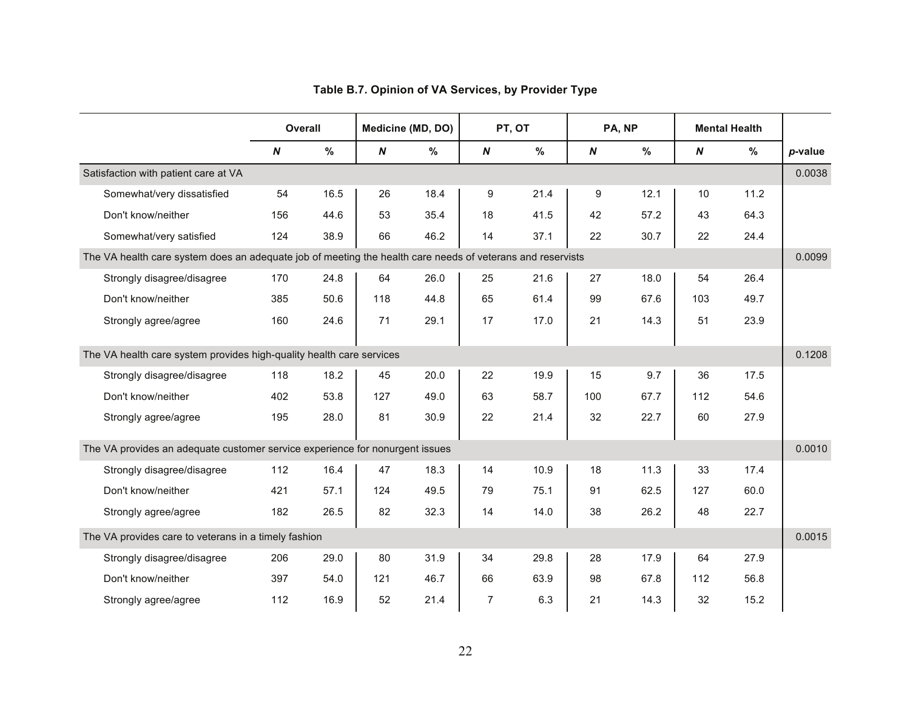|                                                                                                            | Overall          |      |          | Medicine (MD, DO) |                  | PT, OT |          | PA, NP        |                  | <b>Mental Health</b> |         |
|------------------------------------------------------------------------------------------------------------|------------------|------|----------|-------------------|------------------|--------|----------|---------------|------------------|----------------------|---------|
|                                                                                                            | $\boldsymbol{N}$ | %    | $\pmb N$ | %                 | $\boldsymbol{N}$ | %      | $\pmb N$ | $\frac{9}{6}$ | $\boldsymbol{N}$ | %                    | p-value |
| Satisfaction with patient care at VA                                                                       |                  |      |          |                   |                  |        |          |               |                  |                      | 0.0038  |
| Somewhat/very dissatisfied                                                                                 | 54               | 16.5 | 26       | 18.4              | 9                | 21.4   | 9        | 12.1          | 10               | 11.2                 |         |
| Don't know/neither                                                                                         | 156              | 44.6 | 53       | 35.4              | 18               | 41.5   | 42       | 57.2          | 43               | 64.3                 |         |
| Somewhat/very satisfied                                                                                    | 124              | 38.9 | 66       | 46.2              | 14               | 37.1   | 22       | 30.7          | 22               | 24.4                 |         |
| The VA health care system does an adequate job of meeting the health care needs of veterans and reservists |                  |      |          |                   |                  |        |          |               |                  |                      | 0.0099  |
| Strongly disagree/disagree                                                                                 | 170              | 24.8 | 64       | 26.0              | 25               | 21.6   | 27       | 18.0          | 54               | 26.4                 |         |
| Don't know/neither                                                                                         | 385              | 50.6 | 118      | 44.8              | 65               | 61.4   | 99       | 67.6          | 103              | 49.7                 |         |
| Strongly agree/agree                                                                                       | 160              | 24.6 | 71       | 29.1              | 17               | 17.0   | 21       | 14.3          | 51               | 23.9                 |         |
| The VA health care system provides high-quality health care services                                       |                  |      |          |                   |                  |        |          |               |                  |                      | 0.1208  |
| Strongly disagree/disagree                                                                                 | 118              | 18.2 | 45       | 20.0              | 22               | 19.9   | 15       | 9.7           | 36               | 17.5                 |         |
| Don't know/neither                                                                                         | 402              | 53.8 | 127      | 49.0              | 63               | 58.7   | 100      | 67.7          | 112              | 54.6                 |         |
| Strongly agree/agree                                                                                       | 195              | 28.0 | 81       | 30.9              | 22               | 21.4   | 32       | 22.7          | 60               | 27.9                 |         |
| The VA provides an adequate customer service experience for nonurgent issues                               |                  |      |          |                   |                  |        |          |               |                  |                      | 0.0010  |
| Strongly disagree/disagree                                                                                 | 112              | 16.4 | 47       | 18.3              | 14               | 10.9   | 18       | 11.3          | 33               | 17.4                 |         |
| Don't know/neither                                                                                         | 421              | 57.1 | 124      | 49.5              | 79               | 75.1   | 91       | 62.5          | 127              | 60.0                 |         |
| Strongly agree/agree                                                                                       | 182              | 26.5 | 82       | 32.3              | 14               | 14.0   | 38       | 26.2          | 48               | 22.7                 |         |
| The VA provides care to veterans in a timely fashion                                                       |                  |      |          |                   |                  |        |          |               |                  |                      | 0.0015  |
| Strongly disagree/disagree                                                                                 | 206              | 29.0 | 80       | 31.9              | 34               | 29.8   | 28       | 17.9          | 64               | 27.9                 |         |
| Don't know/neither                                                                                         | 397              | 54.0 | 121      | 46.7              | 66               | 63.9   | 98       | 67.8          | 112              | 56.8                 |         |
| Strongly agree/agree                                                                                       | 112              | 16.9 | 52       | 21.4              | 7                | 6.3    | 21       | 14.3          | 32               | 15.2                 |         |

## **Table B.7. Opinion of VA Services, by Provider Type**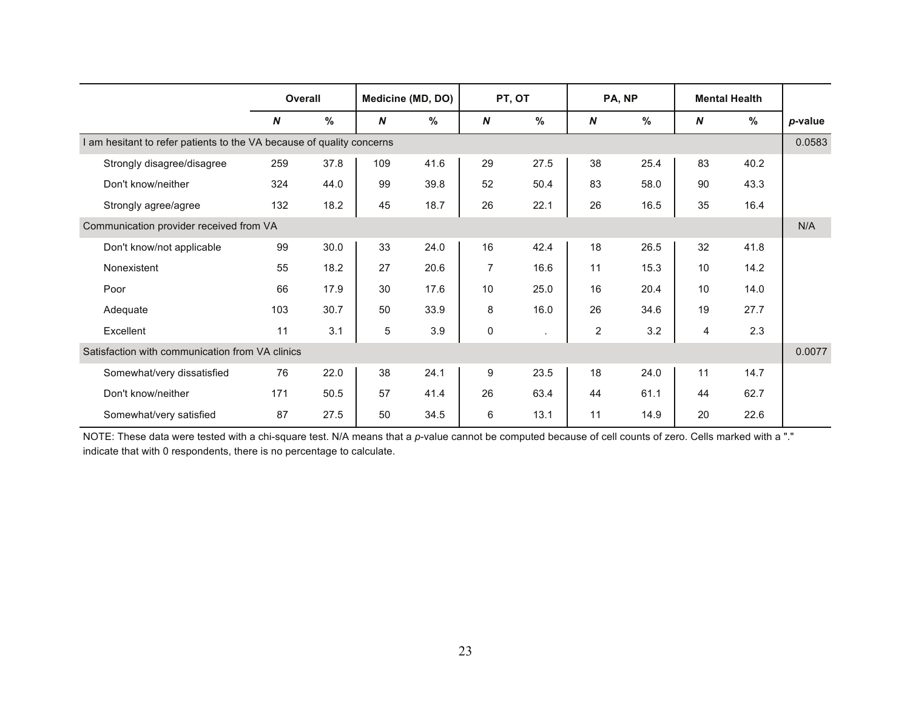|                                                                       | <b>Overall</b> |               |            | Medicine (MD, DO) |    | PT, OT  |                | PA, NP |    | <b>Mental Health</b> |         |
|-----------------------------------------------------------------------|----------------|---------------|------------|-------------------|----|---------|----------------|--------|----|----------------------|---------|
|                                                                       | N              | $\frac{9}{6}$ | N          | $\%$              | N  | $\%$    | N              | $\%$   | N  | %                    | p-value |
| I am hesitant to refer patients to the VA because of quality concerns |                |               |            |                   |    |         |                |        |    |                      | 0.0583  |
| Strongly disagree/disagree                                            | 259            | 37.8          | 109        | 41.6              | 29 | 27.5    | 38             | 25.4   | 83 | 40.2                 |         |
| Don't know/neither                                                    | 324            | 44.0          | 99         | 39.8              | 52 | 50.4    | 83             | 58.0   | 90 | 43.3                 |         |
| Strongly agree/agree                                                  | 132            | 18.2          | 45         | 18.7              | 26 | 22.1    | 26             | 16.5   | 35 | 16.4                 |         |
| Communication provider received from VA                               |                |               |            |                   |    |         |                |        |    |                      | N/A     |
| Don't know/not applicable                                             | 99             | 30.0          | 33         | 24.0              | 16 | 42.4    | 18             | 26.5   | 32 | 41.8                 |         |
| Nonexistent                                                           | 55             | 18.2          | 27         | 20.6              | 7  | 16.6    | 11             | 15.3   | 10 | 14.2                 |         |
| Poor                                                                  | 66             | 17.9          | 30         | 17.6              | 10 | 25.0    | 16             | 20.4   | 10 | 14.0                 |         |
| Adequate                                                              | 103            | 30.7          | 50         | 33.9              | 8  | 16.0    | 26             | 34.6   | 19 | 27.7                 |         |
| Excellent                                                             | 11             | 3.1           | $\sqrt{5}$ | 3.9               | 0  | $\cdot$ | $\overline{c}$ | 3.2    | 4  | 2.3                  |         |
| Satisfaction with communication from VA clinics                       |                |               |            |                   |    |         |                |        |    |                      | 0.0077  |
| Somewhat/very dissatisfied                                            | 76             | 22.0          | 38         | 24.1              | 9  | 23.5    | 18             | 24.0   | 11 | 14.7                 |         |
| Don't know/neither                                                    | 171            | 50.5          | 57         | 41.4              | 26 | 63.4    | 44             | 61.1   | 44 | 62.7                 |         |
| Somewhat/very satisfied                                               | 87             | 27.5          | 50         | 34.5              | 6  | 13.1    | 11             | 14.9   | 20 | 22.6                 |         |

NOTE: These data were tested with a chi-square test. N/A means that a *p*-value cannot be computed because of cell counts of zero. Cells marked with a "." indicate that with 0 respondents, there is no percentage to calculate.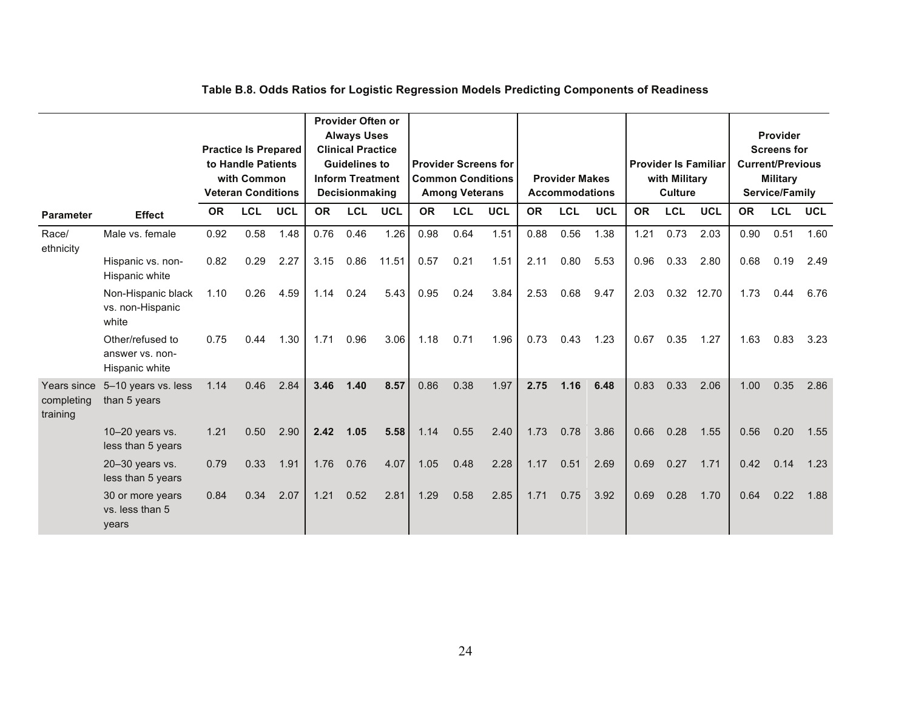|                                       |                                                       |           | <b>Practice Is Prepared</b><br>to Handle Patients |            |           | Provider Often or<br><b>Always Uses</b><br><b>Clinical Practice</b><br><b>Guidelines to</b> |            |           | <b>Provider Screens for</b> |            |           |                       |            |           |               | <b>Provider Is Familiar</b> |           | Provider<br><b>Screens for</b><br><b>Current/Previous</b> |            |
|---------------------------------------|-------------------------------------------------------|-----------|---------------------------------------------------|------------|-----------|---------------------------------------------------------------------------------------------|------------|-----------|-----------------------------|------------|-----------|-----------------------|------------|-----------|---------------|-----------------------------|-----------|-----------------------------------------------------------|------------|
|                                       |                                                       |           | with Common                                       |            |           | <b>Inform Treatment</b>                                                                     |            |           | <b>Common Conditions</b>    |            |           | <b>Provider Makes</b> |            |           | with Military |                             |           | <b>Military</b>                                           |            |
|                                       |                                                       |           | <b>Veteran Conditions</b>                         |            |           | Decisionmaking                                                                              |            |           | <b>Among Veterans</b>       |            |           | <b>Accommodations</b> |            |           | Culture       |                             |           | Service/Family                                            |            |
| <b>Parameter</b>                      | <b>Effect</b>                                         | <b>OR</b> | <b>LCL</b>                                        | <b>UCL</b> | <b>OR</b> | <b>LCL</b>                                                                                  | <b>UCL</b> | <b>OR</b> | <b>LCL</b>                  | <b>UCL</b> | <b>OR</b> | <b>LCL</b>            | <b>UCL</b> | <b>OR</b> | <b>LCL</b>    | <b>UCL</b>                  | <b>OR</b> | <b>LCL</b>                                                | <b>UCL</b> |
| Race/<br>ethnicity                    | Male vs. female                                       | 0.92      | 0.58                                              | 1.48       | 0.76      | 0.46                                                                                        | 1.26       | 0.98      | 0.64                        | 1.51       | 0.88      | 0.56                  | 1.38       | 1.21      | 0.73          | 2.03                        | 0.90      | 0.51                                                      | 1.60       |
|                                       | Hispanic vs. non-<br>Hispanic white                   | 0.82      | 0.29                                              | 2.27       | 3.15      | 0.86                                                                                        | 11.51      | 0.57      | 0.21                        | 1.51       | 2.11      | 0.80                  | 5.53       | 0.96      | 0.33          | 2.80                        | 0.68      | 0.19                                                      | 2.49       |
|                                       | Non-Hispanic black<br>vs. non-Hispanic<br>white       | 1.10      | 0.26                                              | 4.59       | 1.14      | 0.24                                                                                        | 5.43       | 0.95      | 0.24                        | 3.84       | 2.53      | 0.68                  | 9.47       | 2.03      |               | 0.32 12.70                  | 1.73      | 0.44                                                      | 6.76       |
|                                       | Other/refused to<br>answer vs. non-<br>Hispanic white | 0.75      | 0.44                                              | 1.30       | 1.71      | 0.96                                                                                        | 3.06       | 1.18      | 0.71                        | 1.96       | 0.73      | 0.43                  | 1.23       | 0.67      | 0.35          | 1.27                        | 1.63      | 0.83                                                      | 3.23       |
| Years since<br>completing<br>training | 5-10 years vs. less<br>than 5 years                   | 1.14      | 0.46                                              | 2.84       | 3.46      | 1.40                                                                                        | 8.57       | 0.86      | 0.38                        | 1.97       | 2.75      | 1.16                  | 6.48       | 0.83      | 0.33          | 2.06                        | 1.00      | 0.35                                                      | 2.86       |
|                                       | $10-20$ years vs.<br>less than 5 years                | 1.21      | 0.50                                              | 2.90       | 2.42      | 1.05                                                                                        | 5.58       | 1.14      | 0.55                        | 2.40       | 1.73      | 0.78                  | 3.86       | 0.66      | 0.28          | 1.55                        | 0.56      | 0.20                                                      | 1.55       |
|                                       | 20-30 years vs.<br>less than 5 years                  | 0.79      | 0.33                                              | 1.91       | 1.76      | 0.76                                                                                        | 4.07       | 1.05      | 0.48                        | 2.28       | 1.17      | 0.51                  | 2.69       | 0.69      | 0.27          | 1.71                        | 0.42      | 0.14                                                      | 1.23       |
|                                       | 30 or more years<br>vs. less than 5<br>years          | 0.84      | 0.34                                              | 2.07       | 1.21      | 0.52                                                                                        | 2.81       | 1.29      | 0.58                        | 2.85       | 1.71      | 0.75                  | 3.92       | 0.69      | 0.28          | 1.70                        | 0.64      | 0.22                                                      | 1.88       |

## **Table B.8. Odds Ratios for Logistic Regression Models Predicting Components of Readiness**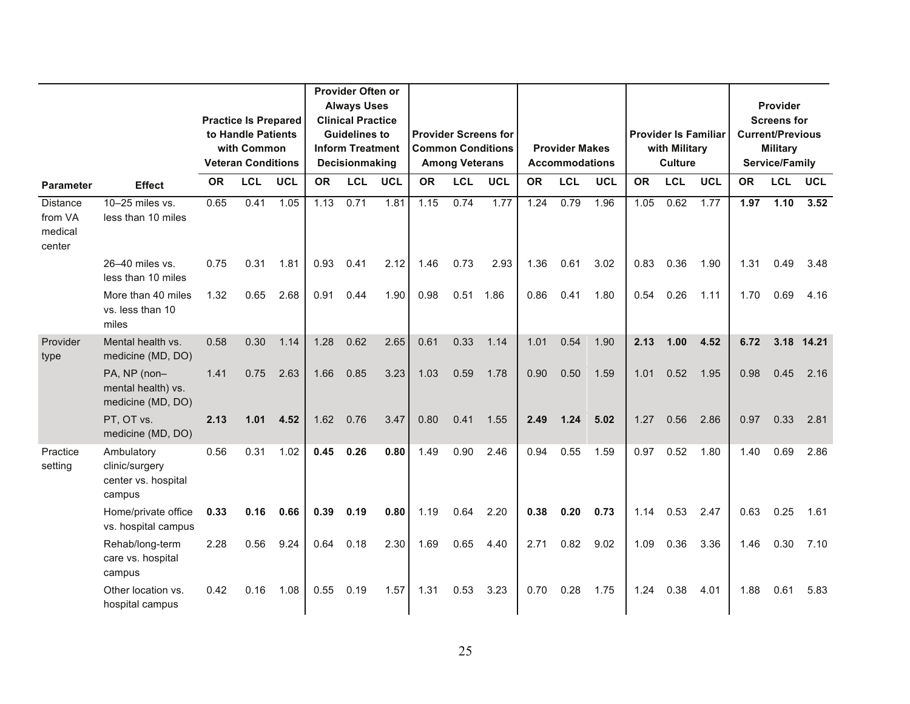|                                                 |                                                               |           |                             |            |           | Provider Often or        |            |           |                       |                             |           |                       |            |           |                             |            |           |                         |            |
|-------------------------------------------------|---------------------------------------------------------------|-----------|-----------------------------|------------|-----------|--------------------------|------------|-----------|-----------------------|-----------------------------|-----------|-----------------------|------------|-----------|-----------------------------|------------|-----------|-------------------------|------------|
|                                                 |                                                               |           |                             |            |           | <b>Always Uses</b>       |            |           |                       |                             |           |                       |            |           |                             |            |           | <b>Provider</b>         |            |
|                                                 |                                                               |           | <b>Practice Is Prepared</b> |            |           | <b>Clinical Practice</b> |            |           |                       |                             |           |                       |            |           |                             |            |           | <b>Screens for</b>      |            |
|                                                 |                                                               |           | to Handle Patients          |            |           | <b>Guidelines to</b>     |            |           |                       | <b>Provider Screens for</b> |           |                       |            |           | <b>Provider Is Familiar</b> |            |           | <b>Current/Previous</b> |            |
|                                                 |                                                               |           | with Common                 |            |           | <b>Inform Treatment</b>  |            |           |                       | <b>Common Conditions</b>    |           | <b>Provider Makes</b> |            |           | with Military               |            |           | <b>Military</b>         |            |
|                                                 |                                                               |           | <b>Veteran Conditions</b>   |            |           | Decisionmaking           |            |           | <b>Among Veterans</b> |                             |           | <b>Accommodations</b> |            |           | <b>Culture</b>              |            |           | <b>Service/Family</b>   |            |
| <b>Parameter</b>                                | <b>Effect</b>                                                 | <b>OR</b> | <b>LCL</b>                  | <b>UCL</b> | <b>OR</b> | <b>LCL</b>               | <b>UCL</b> | <b>OR</b> | <b>LCL</b>            | <b>UCL</b>                  | <b>OR</b> | <b>LCL</b>            | <b>UCL</b> | <b>OR</b> | <b>LCL</b>                  | <b>UCL</b> | <b>OR</b> | <b>LCL</b>              | <b>UCL</b> |
| <b>Distance</b><br>from VA<br>medical<br>center | 10-25 miles vs.<br>less than 10 miles                         | 0.65      | 0.41                        | 1.05       | 1.13      | 0.71                     | 1.81       | 1.15      | 0.74                  | 1.77                        | 1.24      | 0.79                  | 1.96       | 1.05      | 0.62                        | 1.77       | 1.97      | 1.10                    | 3.52       |
|                                                 | 26-40 miles vs.<br>less than 10 miles                         | 0.75      | 0.31                        | 1.81       | 0.93      | 0.41                     | 2.12       | 1.46      | 0.73                  | 2.93                        | 1.36      | 0.61                  | 3.02       | 0.83      | 0.36                        | 1.90       | 1.31      | 0.49                    | 3.48       |
|                                                 | More than 40 miles<br>vs. less than 10<br>miles               | 1.32      | 0.65                        | 2.68       | 0.91      | 0.44                     | 1.90       | 0.98      | 0.51                  | 1.86                        | 0.86      | 0.41                  | 1.80       | 0.54      | 0.26                        | 1.11       | 1.70      | 0.69                    | 4.16       |
| Provider<br>type                                | Mental health vs.<br>medicine (MD, DO)                        | 0.58      | 0.30                        | 1.14       | 1.28      | 0.62                     | 2.65       | 0.61      | 0.33                  | 1.14                        | 1.01      | 0.54                  | 1.90       | 2.13      | 1.00                        | 4.52       | 6.72      |                         | 3.18 14.21 |
|                                                 | PA, NP (non-<br>mental health) vs.<br>medicine (MD, DO)       | 1.41      | 0.75                        | 2.63       | 1.66      | 0.85                     | 3.23       | 1.03      | 0.59                  | 1.78                        | 0.90      | 0.50                  | 1.59       | 1.01      | 0.52                        | 1.95       | 0.98      | 0.45                    | 2.16       |
|                                                 | PT, OT vs.<br>medicine (MD, DO)                               | 2.13      | 1.01                        | 4.52       | 1.62      | 0.76                     | 3.47       | 0.80      | 0.41                  | 1.55                        | 2.49      | 1.24                  | 5.02       | 1.27      | 0.56                        | 2.86       | 0.97      | 0.33                    | 2.81       |
| Practice<br>setting                             | Ambulatory<br>clinic/surgery<br>center vs. hospital<br>campus | 0.56      | 0.31                        | 1.02       | 0.45      | 0.26                     | 0.80       | 1.49      | 0.90                  | 2.46                        | 0.94      | 0.55                  | 1.59       | 0.97      | 0.52                        | 1.80       | 1.40      | 0.69                    | 2.86       |
|                                                 | Home/private office<br>vs. hospital campus                    | 0.33      | 0.16                        | 0.66       | 0.39      | 0.19                     | 0.80       | 1.19      | 0.64                  | 2.20                        | 0.38      | 0.20                  | 0.73       | 1.14      | 0.53                        | 2.47       | 0.63      | 0.25                    | 1.61       |
|                                                 | Rehab/long-term<br>care vs. hospital<br>campus                | 2.28      | 0.56                        | 9.24       | 0.64      | 0.18                     | 2.30       | 1.69      | 0.65                  | 4.40                        | 2.71      | 0.82                  | 9.02       | 1.09      | 0.36                        | 3.36       | 1.46      | 0.30                    | 7.10       |
|                                                 | Other location vs.<br>hospital campus                         | 0.42      | 0.16                        | 1.08       | 0.55      | 0.19                     | 1.57       | 1.31      | 0.53                  | 3.23                        | 0.70      | 0.28                  | 1.75       | 1.24      | 0.38                        | 4.01       | 1.88      | 0.61                    | 5.83       |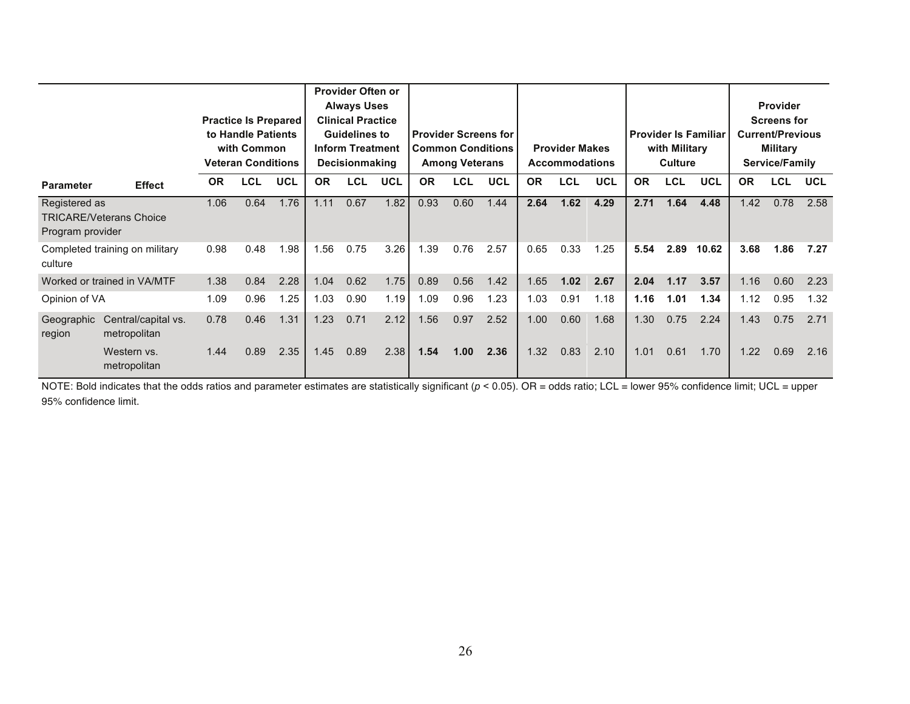|                                   |                                     |           | <b>Practice Is Prepared</b><br>to Handle Patients<br>with Common<br><b>Veteran Conditions</b> |            |           | Provider Often or<br><b>Always Uses</b><br><b>Clinical Practice</b><br><b>Guidelines to</b><br><b>Inform Treatment</b><br><b>Decisionmaking</b> |            |           | <b>Among Veterans</b> | <b>Provider Screens for</b><br><b>Common Conditions</b> |           | <b>Provider Makes</b><br><b>Accommodations</b> |            |           | with Military<br>Culture | <b>Provider Is Familiar</b> |           | Provider<br><b>Screens for</b><br><b>Current/Previous</b><br><b>Military</b><br>Service/Family |            |
|-----------------------------------|-------------------------------------|-----------|-----------------------------------------------------------------------------------------------|------------|-----------|-------------------------------------------------------------------------------------------------------------------------------------------------|------------|-----------|-----------------------|---------------------------------------------------------|-----------|------------------------------------------------|------------|-----------|--------------------------|-----------------------------|-----------|------------------------------------------------------------------------------------------------|------------|
| <b>Parameter</b>                  | <b>Effect</b>                       | <b>OR</b> | <b>LCL</b>                                                                                    | <b>UCL</b> | <b>OR</b> | <b>LCL</b>                                                                                                                                      | <b>UCL</b> | <b>OR</b> | <b>LCL</b>            | <b>UCL</b>                                              | <b>OR</b> | <b>LCL</b>                                     | <b>UCL</b> | <b>OR</b> | <b>LCL</b>               | <b>UCL</b>                  | <b>OR</b> | <b>LCL</b>                                                                                     | <b>UCL</b> |
| Registered as<br>Program provider | <b>TRICARE/Veterans Choice</b>      | 1.06      | 0.64                                                                                          | 1.76       | 1.11      | 0.67                                                                                                                                            | 1.82       | 0.93      | 0.60                  | 1.44                                                    | 2.64      | 1.62                                           | 4.29       | 2.71      | 1.64                     | 4.48                        | 1.42      | 0.78                                                                                           | 2.58       |
| culture                           | Completed training on military      | 0.98      | 0.48                                                                                          | 1.98       | 1.56      | 0.75                                                                                                                                            | 3.26       | 1.39      | 0.76                  | 2.57                                                    | 0.65      | 0.33                                           | 1.25       | 5.54      | 2.89                     | 10.62                       | 3.68      | 1.86                                                                                           | 7.27       |
|                                   | Worked or trained in VA/MTF         | 1.38      | 0.84                                                                                          | 2.28       | 1.04      | 0.62                                                                                                                                            | 1.75       | 0.89      | 0.56                  | 1.42                                                    | 1.65      | 1.02                                           | 2.67       | 2.04      | 1.17                     | 3.57                        | 1.16      | 0.60                                                                                           | 2.23       |
| Opinion of VA                     |                                     | 1.09      | 0.96                                                                                          | 1.25       | 1.03      | 0.90                                                                                                                                            | 1.19       | 1.09      | 0.96                  | 1.23                                                    | 1.03      | 0.91                                           | 1.18       | 1.16      | 1.01                     | 1.34                        | 1.12      | 0.95                                                                                           | 1.32       |
| Geographic<br>region              | Central/capital vs.<br>metropolitan | 0.78      | 0.46                                                                                          | 1.31       | 1.23      | 0.71                                                                                                                                            | 2.12       | 1.56      | 0.97                  | 2.52                                                    | 1.00      | 0.60                                           | 1.68       | 1.30      | 0.75                     | 2.24                        | 1.43      | 0.75                                                                                           | 2.71       |
|                                   | Western vs.<br>metropolitan         | 1.44      | 0.89                                                                                          | 2.35       | 1.45      | 0.89                                                                                                                                            | 2.38       | 1.54      | 1.00                  | 2.36                                                    | 1.32      | 0.83                                           | 2.10       | 1.01      | 0.61                     | 1.70                        | 1.22      | 0.69                                                                                           | 2.16       |

NOTE: Bold indicates that the odds ratios and parameter estimates are statistically significant ( $p < 0.05$ ). OR = odds ratio; LCL = lower 95% confidence limit; UCL = upper 95% confidence limit.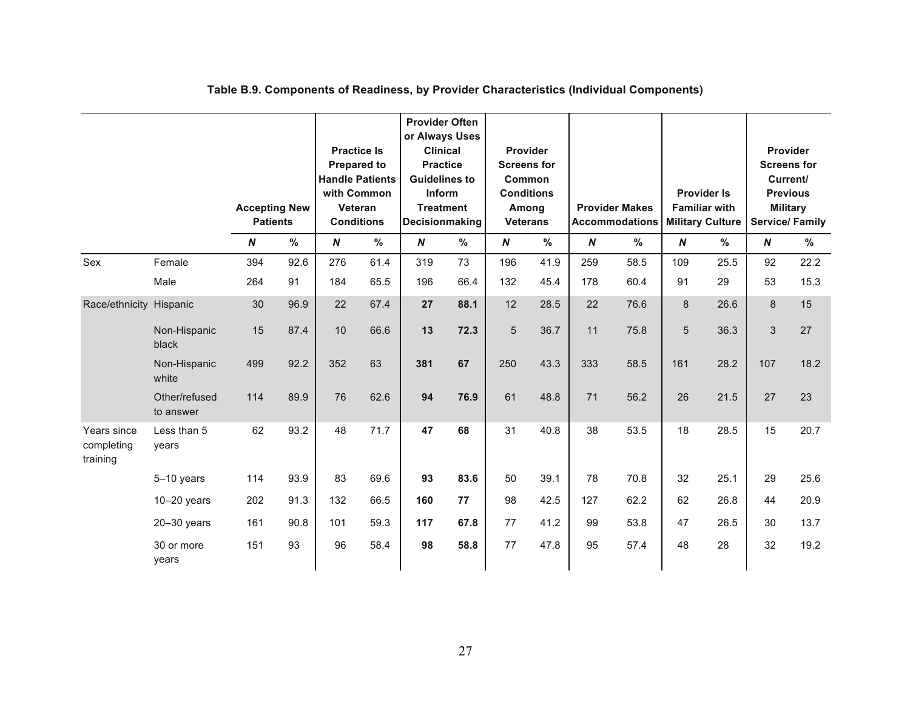|                                       |                            | <b>Accepting New</b><br><b>Patients</b> |      | with Common      | <b>Practice Is</b><br><b>Prepared to</b><br><b>Handle Patients</b><br>Veteran<br><b>Conditions</b> | <b>Provider Often</b><br>or Always Uses<br><b>Clinical</b><br><b>Practice</b><br><b>Guidelines to</b><br>Inform<br><b>Treatment</b><br>Decisionmaking |      | Provider<br><b>Conditions</b><br>Among<br><b>Veterans</b> | <b>Screens for</b><br><b>Common</b> |                  | <b>Provider Makes</b><br><b>Accommodations</b> |                  | <b>Provider Is</b><br><b>Familiar with</b><br><b>Military Culture</b> |                  | Provider<br><b>Screens for</b><br>Current/<br><b>Previous</b><br><b>Military</b><br><b>Service/Family</b> |
|---------------------------------------|----------------------------|-----------------------------------------|------|------------------|----------------------------------------------------------------------------------------------------|-------------------------------------------------------------------------------------------------------------------------------------------------------|------|-----------------------------------------------------------|-------------------------------------|------------------|------------------------------------------------|------------------|-----------------------------------------------------------------------|------------------|-----------------------------------------------------------------------------------------------------------|
|                                       |                            | $\boldsymbol{N}$                        | $\%$ | $\boldsymbol{N}$ | $\%$                                                                                               | $\boldsymbol{N}$                                                                                                                                      | %    | $\boldsymbol{N}$                                          | %                                   | $\boldsymbol{N}$ | %                                              | $\boldsymbol{N}$ | $\%$                                                                  | $\boldsymbol{N}$ | $\frac{9}{6}$                                                                                             |
| Sex                                   | Female                     | 394                                     | 92.6 | 276              | 61.4                                                                                               | 319                                                                                                                                                   | 73   | 196                                                       | 41.9                                | 259              | 58.5                                           | 109              | 25.5                                                                  | 92               | 22.2                                                                                                      |
|                                       | Male                       | 264                                     | 91   | 184              | 65.5                                                                                               | 196                                                                                                                                                   | 66.4 | 132                                                       | 45.4                                | 178              | 60.4                                           | 91               | 29                                                                    | 53               | 15.3                                                                                                      |
| Race/ethnicity Hispanic               |                            | 30                                      | 96.9 | 22               | 67.4                                                                                               | 27                                                                                                                                                    | 88.1 | 12                                                        | 28.5                                | 22               | 76.6                                           | 8                | 26.6                                                                  | 8                | 15                                                                                                        |
|                                       | Non-Hispanic<br>black      | 15                                      | 87.4 | 10               | 66.6                                                                                               | 13                                                                                                                                                    | 72.3 | $\overline{5}$                                            | 36.7                                | 11               | 75.8                                           | 5                | 36.3                                                                  | 3                | 27                                                                                                        |
|                                       | Non-Hispanic<br>white      | 499                                     | 92.2 | 352              | 63                                                                                                 | 381                                                                                                                                                   | 67   | 250                                                       | 43.3                                | 333              | 58.5                                           | 161              | 28.2                                                                  | 107              | 18.2                                                                                                      |
|                                       | Other/refused<br>to answer | 114                                     | 89.9 | 76               | 62.6                                                                                               | 94                                                                                                                                                    | 76.9 | 61                                                        | 48.8                                | 71               | 56.2                                           | 26               | 21.5                                                                  | 27               | 23                                                                                                        |
| Years since<br>completing<br>training | Less than 5<br>years       | 62                                      | 93.2 | 48               | 71.7                                                                                               | 47                                                                                                                                                    | 68   | 31                                                        | 40.8                                | 38               | 53.5                                           | 18               | 28.5                                                                  | 15               | 20.7                                                                                                      |
|                                       | $5-10$ years               | 114                                     | 93.9 | 83               | 69.6                                                                                               | 93                                                                                                                                                    | 83.6 | 50                                                        | 39.1                                | 78               | 70.8                                           | 32               | 25.1                                                                  | 29               | 25.6                                                                                                      |
|                                       | $10-20$ years              | 202                                     | 91.3 | 132              | 66.5                                                                                               | 160                                                                                                                                                   | 77   | 98                                                        | 42.5                                | 127              | 62.2                                           | 62               | 26.8                                                                  | 44               | 20.9                                                                                                      |
|                                       | $20 - 30$ years            | 161                                     | 90.8 | 101              | 59.3                                                                                               | 117                                                                                                                                                   | 67.8 | 77                                                        | 41.2                                | 99               | 53.8                                           | 47               | 26.5                                                                  | 30               | 13.7                                                                                                      |
|                                       | 30 or more<br>years        | 151                                     | 93   | 96               | 58.4                                                                                               | 98                                                                                                                                                    | 58.8 | 77                                                        | 47.8                                | 95               | 57.4                                           | 48               | 28                                                                    | 32               | 19.2                                                                                                      |

## **Table B.9. Components of Readiness, by Provider Characteristics (Individual Components)**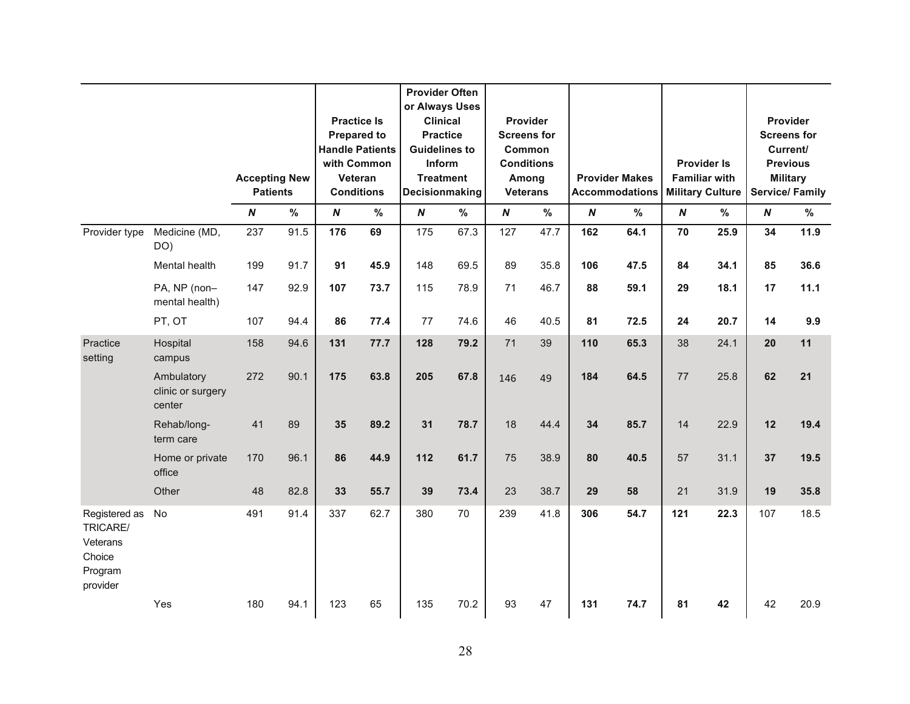|                                                                        |                                           | <b>Accepting New</b><br><b>Patients</b> |      |                  | <b>Practice Is</b><br><b>Prepared to</b><br><b>Handle Patients</b><br>with Common<br>Veteran<br><b>Conditions</b> | <b>Provider Often</b><br>or Always Uses<br><b>Clinical</b><br><b>Practice</b><br><b>Guidelines to</b><br>Inform<br><b>Treatment</b><br>Decisionmaking |      |                  | Provider<br><b>Screens for</b><br>Common<br><b>Conditions</b><br>Among<br><b>Veterans</b> |                  | <b>Provider Makes</b><br><b>Accommodations</b> |                  | <b>Provider Is</b><br><b>Familiar with</b><br><b>Military Culture</b> |                  | Provider<br><b>Screens for</b><br>Current/<br><b>Previous</b><br><b>Military</b><br><b>Service/Family</b> |
|------------------------------------------------------------------------|-------------------------------------------|-----------------------------------------|------|------------------|-------------------------------------------------------------------------------------------------------------------|-------------------------------------------------------------------------------------------------------------------------------------------------------|------|------------------|-------------------------------------------------------------------------------------------|------------------|------------------------------------------------|------------------|-----------------------------------------------------------------------|------------------|-----------------------------------------------------------------------------------------------------------|
|                                                                        |                                           | $\boldsymbol{N}$                        | $\%$ | $\boldsymbol{N}$ | %                                                                                                                 | $\boldsymbol{N}$                                                                                                                                      | %    | $\boldsymbol{N}$ | $\%$                                                                                      | $\boldsymbol{N}$ | %                                              | $\boldsymbol{N}$ | %                                                                     | $\boldsymbol{N}$ | %                                                                                                         |
| Provider type                                                          | Medicine (MD,<br>DO)                      | 237                                     | 91.5 | 176              | 69                                                                                                                | 175                                                                                                                                                   | 67.3 | 127              | 47.7                                                                                      | 162              | 64.1                                           | 70               | 25.9                                                                  | 34               | 11.9                                                                                                      |
|                                                                        | Mental health                             | 199                                     | 91.7 | 91               | 45.9                                                                                                              | 148                                                                                                                                                   | 69.5 | 89               | 35.8                                                                                      | 106              | 47.5                                           | 84               | 34.1                                                                  | 85               | 36.6                                                                                                      |
|                                                                        | PA, NP (non-<br>mental health)            | 147                                     | 92.9 | 107              | 73.7                                                                                                              | 115                                                                                                                                                   | 78.9 | 71               | 46.7                                                                                      | 88               | 59.1                                           | 29               | 18.1                                                                  | 17               | 11.1                                                                                                      |
|                                                                        | PT, OT                                    | 107                                     | 94.4 | 86               | 77.4                                                                                                              | 77                                                                                                                                                    | 74.6 | 46               | 40.5                                                                                      | 81               | 72.5                                           | 24               | 20.7                                                                  | 14               | 9.9                                                                                                       |
| Practice<br>setting                                                    | Hospital<br>campus                        | 158                                     | 94.6 | 131              | 77.7                                                                                                              | 128                                                                                                                                                   | 79.2 | 71               | 39                                                                                        | 110              | 65.3                                           | 38               | 24.1                                                                  | 20               | 11                                                                                                        |
|                                                                        | Ambulatory<br>clinic or surgery<br>center | 272                                     | 90.1 | 175              | 63.8                                                                                                              | 205                                                                                                                                                   | 67.8 | 146              | 49                                                                                        | 184              | 64.5                                           | 77               | 25.8                                                                  | 62               | 21                                                                                                        |
|                                                                        | Rehab/long-<br>term care                  | 41                                      | 89   | 35               | 89.2                                                                                                              | 31                                                                                                                                                    | 78.7 | 18               | 44.4                                                                                      | 34               | 85.7                                           | 14               | 22.9                                                                  | 12               | 19.4                                                                                                      |
|                                                                        | Home or private<br>office                 | 170                                     | 96.1 | 86               | 44.9                                                                                                              | 112                                                                                                                                                   | 61.7 | 75               | 38.9                                                                                      | 80               | 40.5                                           | 57               | 31.1                                                                  | 37               | 19.5                                                                                                      |
|                                                                        | Other                                     | 48                                      | 82.8 | 33               | 55.7                                                                                                              | 39                                                                                                                                                    | 73.4 | 23               | 38.7                                                                                      | 29               | 58                                             | 21               | 31.9                                                                  | 19               | 35.8                                                                                                      |
| Registered as<br>TRICARE/<br>Veterans<br>Choice<br>Program<br>provider | No                                        | 491                                     | 91.4 | 337              | 62.7                                                                                                              | 380                                                                                                                                                   | 70   | 239              | 41.8                                                                                      | 306              | 54.7                                           | 121              | 22.3                                                                  | 107              | 18.5                                                                                                      |
|                                                                        | Yes                                       | 180                                     | 94.1 | 123              | 65                                                                                                                | 135                                                                                                                                                   | 70.2 | 93               | 47                                                                                        | 131              | 74.7                                           | 81               | 42                                                                    | 42               | 20.9                                                                                                      |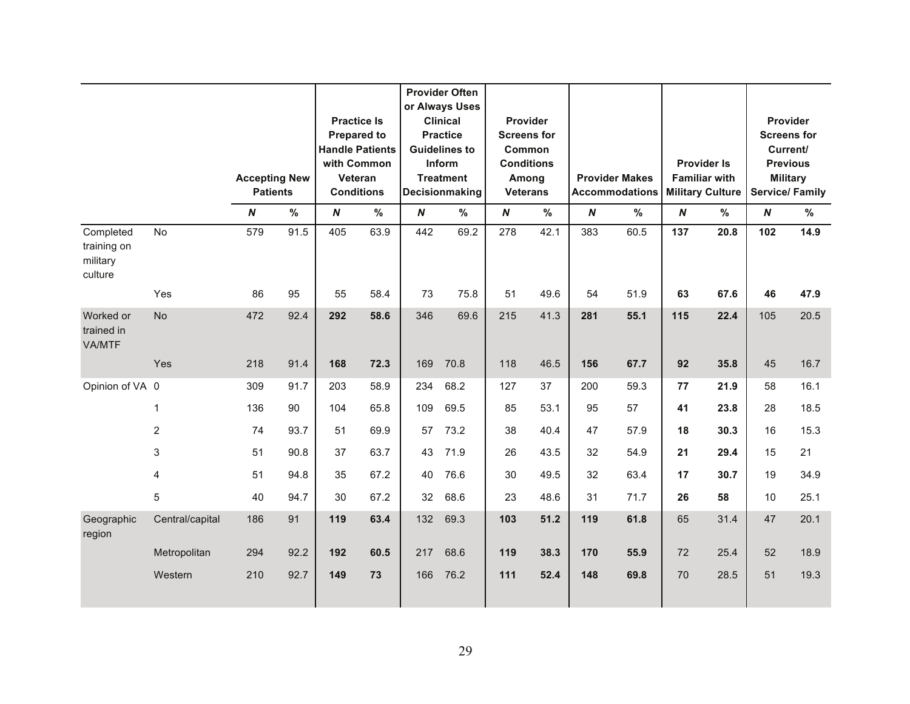|                                                 |                 |                                         |      |                  |                                                                                                                   |                  | <b>Provider Often</b><br>or Always Uses                                                                           |                                                         |                                       |                  |                                                |                  |                                                                       |                  |                                                                                                           |
|-------------------------------------------------|-----------------|-----------------------------------------|------|------------------|-------------------------------------------------------------------------------------------------------------------|------------------|-------------------------------------------------------------------------------------------------------------------|---------------------------------------------------------|---------------------------------------|------------------|------------------------------------------------|------------------|-----------------------------------------------------------------------|------------------|-----------------------------------------------------------------------------------------------------------|
|                                                 |                 | <b>Accepting New</b><br><b>Patients</b> |      |                  | <b>Practice Is</b><br><b>Prepared to</b><br><b>Handle Patients</b><br>with Common<br>Veteran<br><b>Conditions</b> |                  | <b>Clinical</b><br><b>Practice</b><br><b>Guidelines to</b><br><b>Inform</b><br><b>Treatment</b><br>Decisionmaking | Common<br><b>Conditions</b><br>Among<br><b>Veterans</b> | <b>Provider</b><br><b>Screens for</b> |                  | <b>Provider Makes</b><br><b>Accommodations</b> |                  | <b>Provider Is</b><br><b>Familiar with</b><br><b>Military Culture</b> |                  | Provider<br><b>Screens for</b><br>Current/<br><b>Previous</b><br><b>Military</b><br><b>Service/Family</b> |
|                                                 |                 | $\boldsymbol{N}$                        | $\%$ | $\boldsymbol{N}$ | %                                                                                                                 | $\boldsymbol{N}$ | %                                                                                                                 | $\boldsymbol{N}$                                        | %                                     | $\boldsymbol{N}$ | %                                              | $\boldsymbol{N}$ | %                                                                     | $\boldsymbol{N}$ | %                                                                                                         |
| Completed<br>training on<br>military<br>culture | No              | 579                                     | 91.5 | 405              | 63.9                                                                                                              | 442              | 69.2                                                                                                              | 278                                                     | 42.1                                  | 383              | 60.5                                           | 137              | 20.8                                                                  | 102              | 14.9                                                                                                      |
|                                                 | Yes             | 86                                      | 95   | 55               | 58.4                                                                                                              | 73               | 75.8                                                                                                              | 51                                                      | 49.6                                  | 54               | 51.9                                           | 63               | 67.6                                                                  | 46               | 47.9                                                                                                      |
| Worked or<br>trained in<br>VA/MTF               | <b>No</b>       | 472                                     | 92.4 | 292              | 58.6                                                                                                              | 346              | 69.6                                                                                                              | 215                                                     | 41.3                                  | 281              | 55.1                                           | 115              | 22.4                                                                  | 105              | 20.5                                                                                                      |
|                                                 | Yes             | 218                                     | 91.4 | 168              | 72.3                                                                                                              | 169              | 70.8                                                                                                              | 118                                                     | 46.5                                  | 156              | 67.7                                           | 92               | 35.8                                                                  | 45               | 16.7                                                                                                      |
| Opinion of VA 0                                 |                 | 309                                     | 91.7 | 203              | 58.9                                                                                                              | 234              | 68.2                                                                                                              | 127                                                     | 37                                    | 200              | 59.3                                           | 77               | 21.9                                                                  | 58               | 16.1                                                                                                      |
|                                                 | 1               | 136                                     | 90   | 104              | 65.8                                                                                                              | 109              | 69.5                                                                                                              | 85                                                      | 53.1                                  | 95               | 57                                             | 41               | 23.8                                                                  | 28               | 18.5                                                                                                      |
|                                                 | $\overline{2}$  | 74                                      | 93.7 | 51               | 69.9                                                                                                              | 57               | 73.2                                                                                                              | 38                                                      | 40.4                                  | 47               | 57.9                                           | 18               | 30.3                                                                  | 16               | 15.3                                                                                                      |
|                                                 | 3               | 51                                      | 90.8 | 37               | 63.7                                                                                                              | 43               | 71.9                                                                                                              | 26                                                      | 43.5                                  | 32               | 54.9                                           | 21               | 29.4                                                                  | 15               | 21                                                                                                        |
|                                                 | 4               | 51                                      | 94.8 | 35               | 67.2                                                                                                              | 40               | 76.6                                                                                                              | 30                                                      | 49.5                                  | 32               | 63.4                                           | 17               | 30.7                                                                  | 19               | 34.9                                                                                                      |
|                                                 | 5               | 40                                      | 94.7 | 30               | 67.2                                                                                                              | 32               | 68.6                                                                                                              | 23                                                      | 48.6                                  | 31               | 71.7                                           | 26               | 58                                                                    | 10               | 25.1                                                                                                      |
| Geographic<br>region                            | Central/capital | 186                                     | 91   | 119              | 63.4                                                                                                              | 132              | 69.3                                                                                                              | 103                                                     | 51.2                                  | 119              | 61.8                                           | 65               | 31.4                                                                  | 47               | 20.1                                                                                                      |
|                                                 | Metropolitan    | 294                                     | 92.2 | 192              | 60.5                                                                                                              | 217              | 68.6                                                                                                              | 119                                                     | 38.3                                  | 170              | 55.9                                           | 72               | 25.4                                                                  | 52               | 18.9                                                                                                      |
|                                                 | Western         | 210                                     | 92.7 | 149              | 73                                                                                                                | 166              | 76.2                                                                                                              | 111                                                     | 52.4                                  | 148              | 69.8                                           | 70               | 28.5                                                                  | 51               | 19.3                                                                                                      |